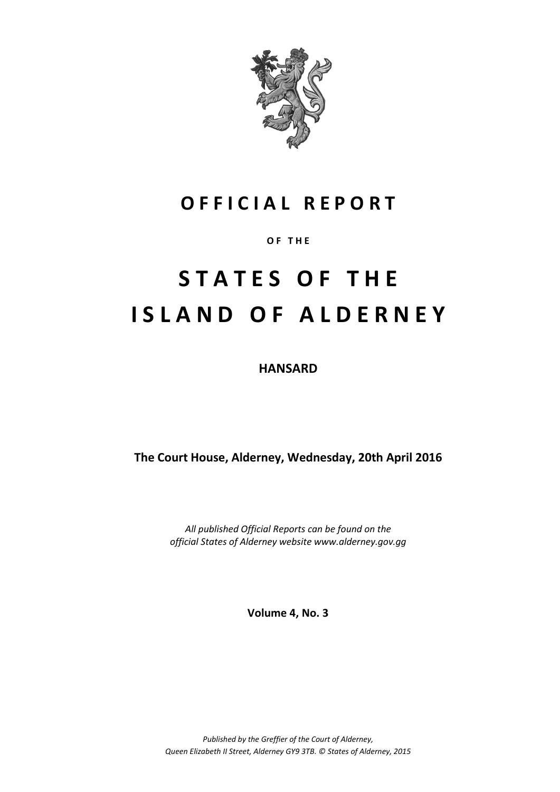

### **O F F I C I A L R E P O R T**

#### **O F T H E**

# **S T A T E S O F T H E I S L A N D O F A L D E R N E Y**

**HANSARD**

**The Court House, Alderney, Wednesday, 20th April 2016**

*All published Official Reports can be found on the official States of Alderney website www.alderney.gov.gg*

**Volume 4, No. 3**

*Published by the Greffier of the Court of Alderney, Queen Elizabeth II Street, Alderney GY9 3TB. © States of Alderney, 2015*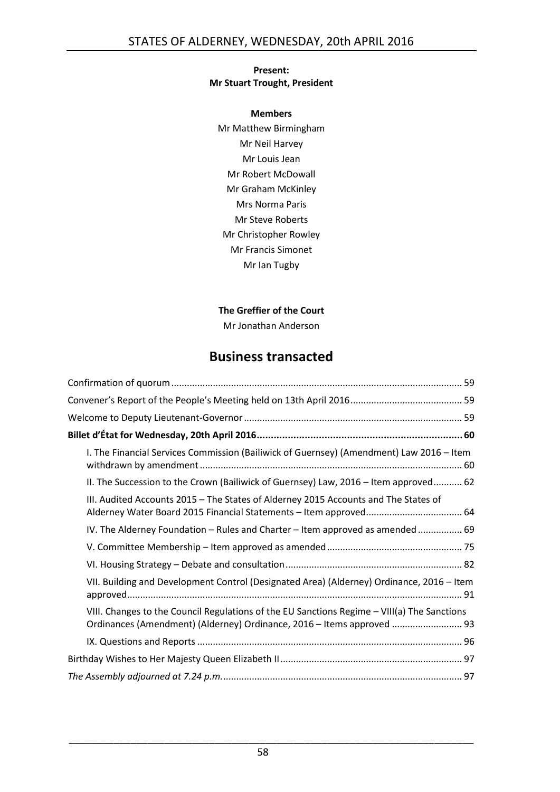#### **Present: Mr Stuart Trought, President**

**Members** Mr Matthew Birmingham Mr Neil Harvey Mr Louis Jean Mr Robert McDowall Mr Graham McKinley Mrs Norma Paris Mr Steve Roberts Mr Christopher Rowley Mr Francis Simonet Mr Ian Tugby

#### **The Greffier of the Court**

Mr Jonathan Anderson

### **Business transacted**

| I. The Financial Services Commission (Bailiwick of Guernsey) (Amendment) Law 2016 - Item                                                                              |
|-----------------------------------------------------------------------------------------------------------------------------------------------------------------------|
| II. The Succession to the Crown (Bailiwick of Guernsey) Law, 2016 - Item approved 62                                                                                  |
| III. Audited Accounts 2015 - The States of Alderney 2015 Accounts and The States of                                                                                   |
| IV. The Alderney Foundation - Rules and Charter - Item approved as amended  69                                                                                        |
|                                                                                                                                                                       |
|                                                                                                                                                                       |
| VII. Building and Development Control (Designated Area) (Alderney) Ordinance, 2016 - Item                                                                             |
| VIII. Changes to the Council Regulations of the EU Sanctions Regime - VIII(a) The Sanctions<br>Ordinances (Amendment) (Alderney) Ordinance, 2016 - Items approved  93 |
|                                                                                                                                                                       |
|                                                                                                                                                                       |
|                                                                                                                                                                       |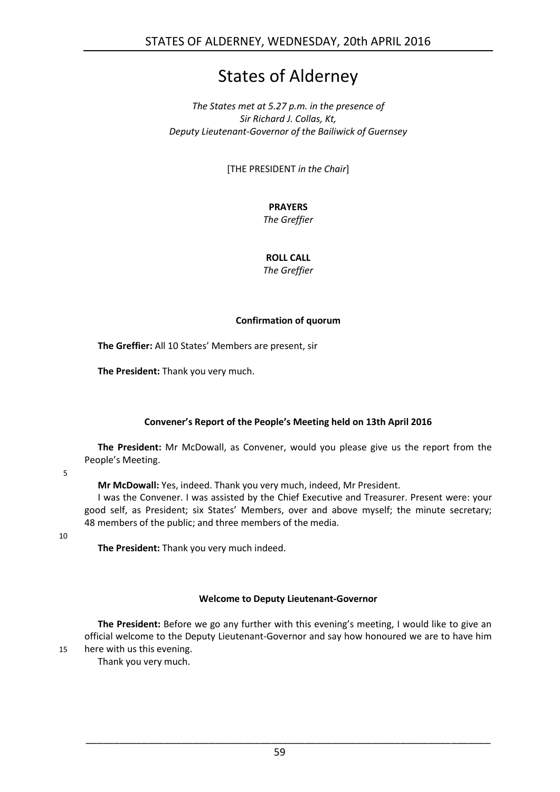### States of Alderney

#### *The States met at 5.27 p.m. in the presence of Sir Richard J. Collas, Kt, Deputy Lieutenant-Governor of the Bailiwick of Guernsey*

[THE PRESIDENT *in the Chair*]

#### **PRAYERS**

*The Greffier*

#### **ROLL CALL**

*The Greffier*

#### **Confirmation of quorum**

<span id="page-2-0"></span>**The Greffier:** All 10 States' Members are present, sir

**The President:** Thank you very much.

#### **Convener's Report of the People's Meeting held on 13th April 2016**

<span id="page-2-1"></span>**The President:** Mr McDowall, as Convener, would you please give us the report from the People's Meeting.

5

**Mr McDowall:** Yes, indeed. Thank you very much, indeed, Mr President.

I was the Convener. I was assisted by the Chief Executive and Treasurer. Present were: your good self, as President; six States' Members, over and above myself; the minute secretary; 48 members of the public; and three members of the media.

10

**The President:** Thank you very much indeed.

#### **Welcome to Deputy Lieutenant-Governor**

<span id="page-2-2"></span>**The President:** Before we go any further with this evening's meeting, I would like to give an official welcome to the Deputy Lieutenant-Governor and say how honoured we are to have him 15 here with us this evening.

Thank you very much.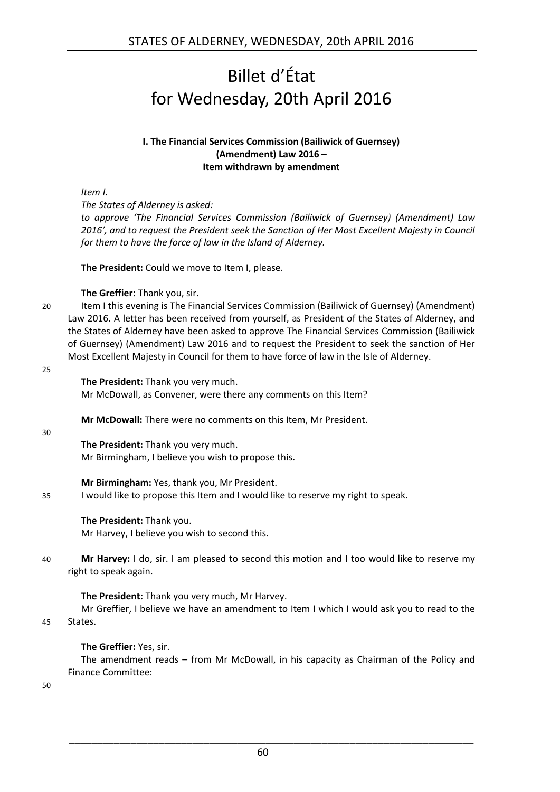## <span id="page-3-0"></span>Billet d'État for Wednesday, 20th April 2016

#### **I. The Financial Services Commission (Bailiwick of Guernsey) (Amendment) Law 2016 – Item withdrawn by amendment**

<span id="page-3-1"></span>*Item I.*

*The States of Alderney is asked:*

*to approve 'The Financial Services Commission (Bailiwick of Guernsey) (Amendment) Law 2016', and to request the President seek the Sanction of Her Most Excellent Majesty in Council for them to have the force of law in the Island of Alderney.*

**The President:** Could we move to Item I, please.

#### **The Greffier:** Thank you, sir.

20 Item I this evening is The Financial Services Commission (Bailiwick of Guernsey) (Amendment) Law 2016. A letter has been received from yourself, as President of the States of Alderney, and the States of Alderney have been asked to approve The Financial Services Commission (Bailiwick of Guernsey) (Amendment) Law 2016 and to request the President to seek the sanction of Her Most Excellent Majesty in Council for them to have force of law in the Isle of Alderney.

#### 25

**The President:** Thank you very much. Mr McDowall, as Convener, were there any comments on this Item?

**Mr McDowall:** There were no comments on this Item, Mr President.

30

**The President:** Thank you very much. Mr Birmingham, I believe you wish to propose this.

**Mr Birmingham:** Yes, thank you, Mr President.

35 I would like to propose this Item and I would like to reserve my right to speak.

#### **The President:** Thank you.

Mr Harvey, I believe you wish to second this.

40 **Mr Harvey:** I do, sir. I am pleased to second this motion and I too would like to reserve my right to speak again.

**The President:** Thank you very much, Mr Harvey. Mr Greffier, I believe we have an amendment to Item I which I would ask you to read to the 45 States.

**The Greffier:** Yes, sir.

The amendment reads – from Mr McDowall, in his capacity as Chairman of the Policy and Finance Committee:

50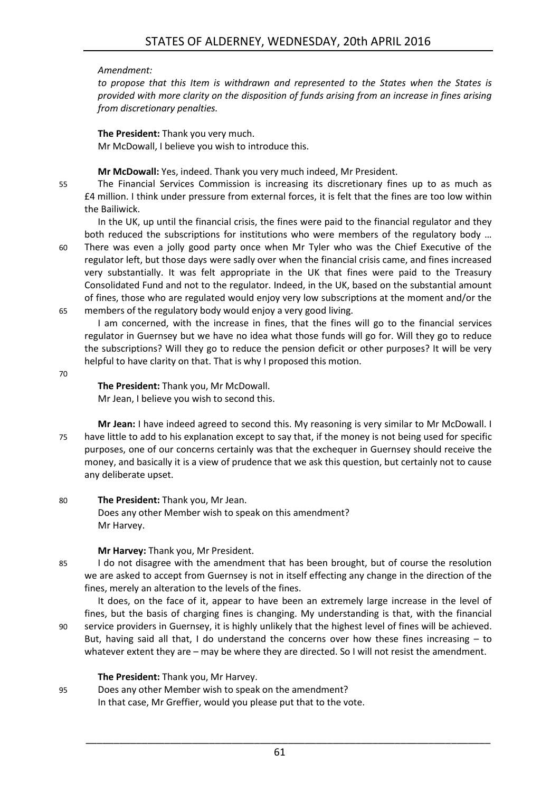#### *Amendment:*

*to propose that this Item is withdrawn and represented to the States when the States is provided with more clarity on the disposition of funds arising from an increase in fines arising from discretionary penalties.* 

**The President:** Thank you very much. Mr McDowall, I believe you wish to introduce this.

**Mr McDowall:** Yes, indeed. Thank you very much indeed, Mr President.

55 The Financial Services Commission is increasing its discretionary fines up to as much as £4 million. I think under pressure from external forces, it is felt that the fines are too low within the Bailiwick.

In the UK, up until the financial crisis, the fines were paid to the financial regulator and they both reduced the subscriptions for institutions who were members of the regulatory body …

60 There was even a jolly good party once when Mr Tyler who was the Chief Executive of the regulator left, but those days were sadly over when the financial crisis came, and fines increased very substantially. It was felt appropriate in the UK that fines were paid to the Treasury Consolidated Fund and not to the regulator. Indeed, in the UK, based on the substantial amount of fines, those who are regulated would enjoy very low subscriptions at the moment and/or the 65 members of the regulatory body would enjoy a very good living.

I am concerned, with the increase in fines, that the fines will go to the financial services regulator in Guernsey but we have no idea what those funds will go for. Will they go to reduce the subscriptions? Will they go to reduce the pension deficit or other purposes? It will be very helpful to have clarity on that. That is why I proposed this motion.

70

**The President:** Thank you, Mr McDowall. Mr Jean, I believe you wish to second this.

- **Mr Jean:** I have indeed agreed to second this. My reasoning is very similar to Mr McDowall. I 75 have little to add to his explanation except to say that, if the money is not being used for specific purposes, one of our concerns certainly was that the exchequer in Guernsey should receive the money, and basically it is a view of prudence that we ask this question, but certainly not to cause any deliberate upset.
- 80 **The President:** Thank you, Mr Jean. Does any other Member wish to speak on this amendment? Mr Harvey.

**Mr Harvey:** Thank you, Mr President.

85 I do not disagree with the amendment that has been brought, but of course the resolution we are asked to accept from Guernsey is not in itself effecting any change in the direction of the fines, merely an alteration to the levels of the fines.

It does, on the face of it, appear to have been an extremely large increase in the level of fines, but the basis of charging fines is changing. My understanding is that, with the financial 90 service providers in Guernsey, it is highly unlikely that the highest level of fines will be achieved. But, having said all that, I do understand the concerns over how these fines increasing – to whatever extent they are – may be where they are directed. So I will not resist the amendment.

#### **The President:** Thank you, Mr Harvey.

95 Does any other Member wish to speak on the amendment? In that case, Mr Greffier, would you please put that to the vote.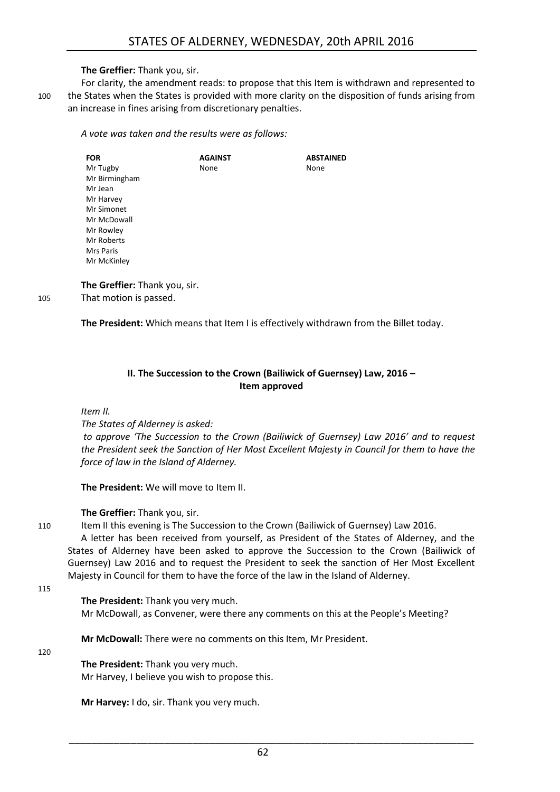#### **The Greffier:** Thank you, sir.

For clarity, the amendment reads: to propose that this Item is withdrawn and represented to 100 the States when the States is provided with more clarity on the disposition of funds arising from an increase in fines arising from discretionary penalties.

*A vote was taken and the results were as follows:*

| <b>FOR</b>    | <b>AGAINST</b> | <b>ABSTAINED</b> |
|---------------|----------------|------------------|
| Mr Tugby      | None           | None             |
| Mr Birmingham |                |                  |
| Mr Jean       |                |                  |
| Mr Harvey     |                |                  |
| Mr Simonet    |                |                  |
| Mr McDowall   |                |                  |
| Mr Rowley     |                |                  |
| Mr Roberts    |                |                  |
| Mrs Paris     |                |                  |
| Mr McKinley   |                |                  |

**The Greffier:** Thank you, sir. 105 That motion is passed.

**The President:** Which means that Item I is effectively withdrawn from the Billet today.

#### **II. The Succession to the Crown (Bailiwick of Guernsey) Law, 2016 – Item approved**

<span id="page-5-0"></span>*Item II.*

*The States of Alderney is asked:*

*to approve 'The Succession to the Crown (Bailiwick of Guernsey) Law 2016' and to request the President seek the Sanction of Her Most Excellent Majesty in Council for them to have the force of law in the Island of Alderney.* 

**The President:** We will move to Item II.

**The Greffier:** Thank you, sir.

110 Item II this evening is The Succession to the Crown (Bailiwick of Guernsey) Law 2016.

A letter has been received from yourself, as President of the States of Alderney, and the States of Alderney have been asked to approve the Succession to the Crown (Bailiwick of Guernsey) Law 2016 and to request the President to seek the sanction of Her Most Excellent Majesty in Council for them to have the force of the law in the Island of Alderney.

115

**The President:** Thank you very much. Mr McDowall, as Convener, were there any comments on this at the People's Meeting?

**Mr McDowall:** There were no comments on this Item, Mr President.

#### 120

**The President:** Thank you very much. Mr Harvey, I believe you wish to propose this.

**Mr Harvey:** I do, sir. Thank you very much.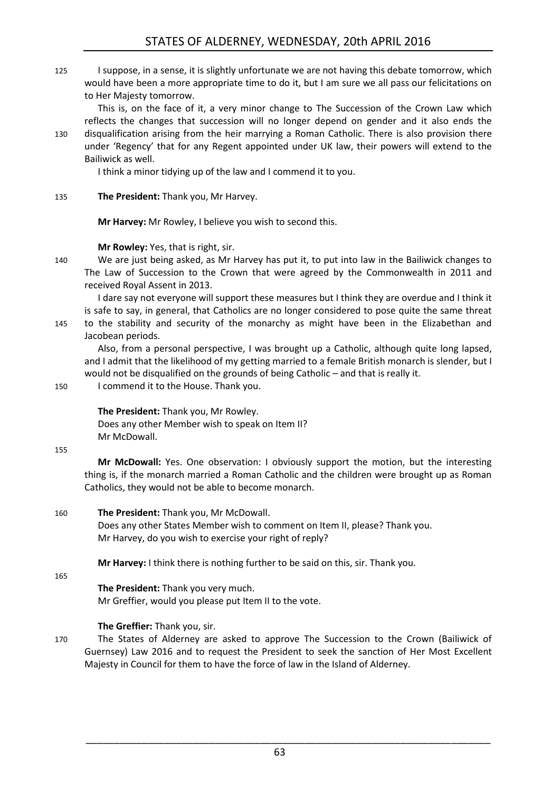125 I suppose, in a sense, it is slightly unfortunate we are not having this debate tomorrow, which would have been a more appropriate time to do it, but I am sure we all pass our felicitations on to Her Majesty tomorrow.

This is, on the face of it, a very minor change to The Succession of the Crown Law which reflects the changes that succession will no longer depend on gender and it also ends the 130 disqualification arising from the heir marrying a Roman Catholic. There is also provision there under 'Regency' that for any Regent appointed under UK law, their powers will extend to the Bailiwick as well.

I think a minor tidying up of the law and I commend it to you.

135 **The President:** Thank you, Mr Harvey.

**Mr Harvey:** Mr Rowley, I believe you wish to second this.

**Mr Rowley:** Yes, that is right, sir.

140 We are just being asked, as Mr Harvey has put it, to put into law in the Bailiwick changes to The Law of Succession to the Crown that were agreed by the Commonwealth in 2011 and received Royal Assent in 2013.

I dare say not everyone will support these measures but I think they are overdue and I think it is safe to say, in general, that Catholics are no longer considered to pose quite the same threat 145 to the stability and security of the monarchy as might have been in the Elizabethan and Jacobean periods.

Also, from a personal perspective, I was brought up a Catholic, although quite long lapsed, and I admit that the likelihood of my getting married to a female British monarch is slender, but I would not be disqualified on the grounds of being Catholic – and that is really it.

150 I commend it to the House. Thank you.

**The President:** Thank you, Mr Rowley. Does any other Member wish to speak on Item II? Mr McDowall.

155

**Mr McDowall:** Yes. One observation: I obviously support the motion, but the interesting thing is, if the monarch married a Roman Catholic and the children were brought up as Roman Catholics, they would not be able to become monarch.

160 **The President:** Thank you, Mr McDowall.

Does any other States Member wish to comment on Item II, please? Thank you. Mr Harvey, do you wish to exercise your right of reply?

**Mr Harvey:** I think there is nothing further to be said on this, sir. Thank you.

165

**The President:** Thank you very much. Mr Greffier, would you please put Item II to the vote.

#### **The Greffier:** Thank you, sir.

170 The States of Alderney are asked to approve The Succession to the Crown (Bailiwick of Guernsey) Law 2016 and to request the President to seek the sanction of Her Most Excellent Majesty in Council for them to have the force of law in the Island of Alderney.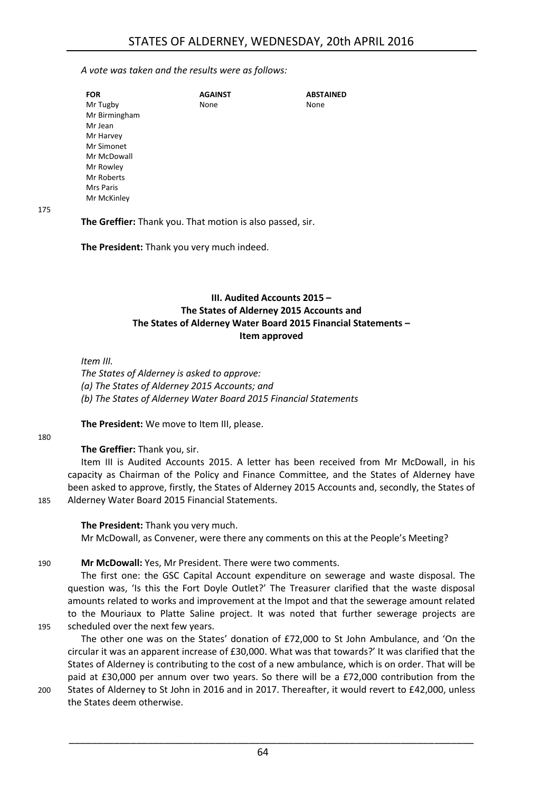#### *A vote was taken and the results were as follows:*

| <b>FOR</b>       | <b>AGAINST</b> | <b>ABSTAINED</b> |
|------------------|----------------|------------------|
| Mr Tugby         | None           | None             |
| Mr Birmingham    |                |                  |
| Mr Jean          |                |                  |
| Mr Harvey        |                |                  |
| Mr Simonet       |                |                  |
| Mr McDowall      |                |                  |
| Mr Rowley        |                |                  |
| Mr Roberts       |                |                  |
| <b>Mrs Paris</b> |                |                  |
| Mr McKinley      |                |                  |
|                  |                |                  |

#### 175

#### **The Greffier:** Thank you. That motion is also passed, sir.

<span id="page-7-0"></span>**The President:** Thank you very much indeed.

#### **III. Audited Accounts 2015 – The States of Alderney 2015 Accounts and The States of Alderney Water Board 2015 Financial Statements – Item approved**

*Item III.*

*The States of Alderney is asked to approve: (a) The States of Alderney 2015 Accounts; and (b) The States of Alderney Water Board 2015 Financial Statements* 

**The President:** We move to Item III, please.

#### 180

#### **The Greffier:** Thank you, sir.

Item III is Audited Accounts 2015. A letter has been received from Mr McDowall, in his capacity as Chairman of the Policy and Finance Committee, and the States of Alderney have been asked to approve, firstly, the States of Alderney 2015 Accounts and, secondly, the States of 185 Alderney Water Board 2015 Financial Statements.

#### **The President:** Thank you very much.

Mr McDowall, as Convener, were there any comments on this at the People's Meeting?

#### 190 **Mr McDowall:** Yes, Mr President. There were two comments.

The first one: the GSC Capital Account expenditure on sewerage and waste disposal. The question was, 'Is this the Fort Doyle Outlet?' The Treasurer clarified that the waste disposal amounts related to works and improvement at the Impot and that the sewerage amount related to the Mouriaux to Platte Saline project. It was noted that further sewerage projects are 195 scheduled over the next few years.

The other one was on the States' donation of £72,000 to St John Ambulance, and 'On the circular it was an apparent increase of £30,000. What was that towards?' It was clarified that the States of Alderney is contributing to the cost of a new ambulance, which is on order. That will be paid at £30,000 per annum over two years. So there will be a £72,000 contribution from the

200 States of Alderney to St John in 2016 and in 2017. Thereafter, it would revert to £42,000, unless the States deem otherwise.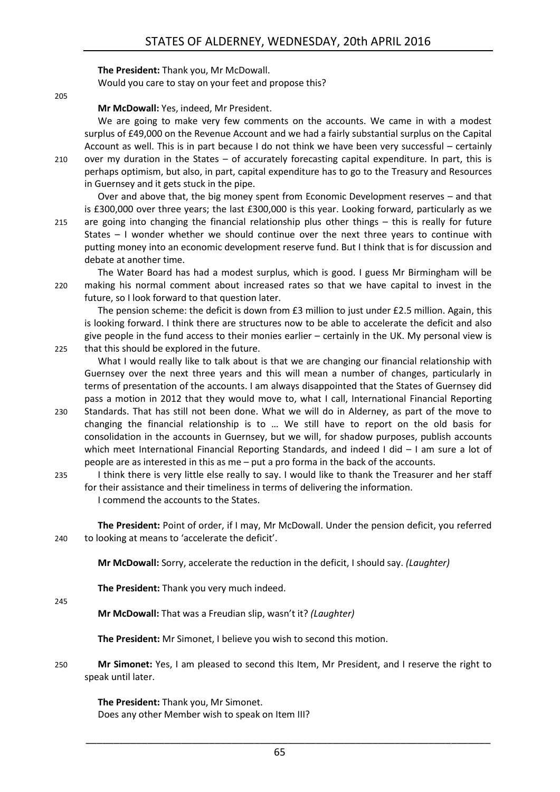#### **The President:** Thank you, Mr McDowall.

Would you care to stay on your feet and propose this?

205

#### **Mr McDowall:** Yes, indeed, Mr President.

We are going to make very few comments on the accounts. We came in with a modest surplus of £49,000 on the Revenue Account and we had a fairly substantial surplus on the Capital Account as well. This is in part because I do not think we have been very successful – certainly 210 over my duration in the States – of accurately forecasting capital expenditure. In part, this is perhaps optimism, but also, in part, capital expenditure has to go to the Treasury and Resources in Guernsey and it gets stuck in the pipe.

Over and above that, the big money spent from Economic Development reserves – and that is £300,000 over three years; the last £300,000 is this year. Looking forward, particularly as we 215 are going into changing the financial relationship plus other things – this is really for future States – I wonder whether we should continue over the next three years to continue with putting money into an economic development reserve fund. But I think that is for discussion and debate at another time.

The Water Board has had a modest surplus, which is good. I guess Mr Birmingham will be 220 making his normal comment about increased rates so that we have capital to invest in the future, so I look forward to that question later.

The pension scheme: the deficit is down from £3 million to just under £2.5 million. Again, this is looking forward. I think there are structures now to be able to accelerate the deficit and also give people in the fund access to their monies earlier – certainly in the UK. My personal view is 225 that this should be explored in the future.

What I would really like to talk about is that we are changing our financial relationship with Guernsey over the next three years and this will mean a number of changes, particularly in terms of presentation of the accounts. I am always disappointed that the States of Guernsey did pass a motion in 2012 that they would move to, what I call, International Financial Reporting

- 230 Standards. That has still not been done. What we will do in Alderney, as part of the move to changing the financial relationship is to … We still have to report on the old basis for consolidation in the accounts in Guernsey, but we will, for shadow purposes, publish accounts which meet International Financial Reporting Standards, and indeed I did - I am sure a lot of people are as interested in this as me – put a pro forma in the back of the accounts.
- 235 I think there is very little else really to say. I would like to thank the Treasurer and her staff for their assistance and their timeliness in terms of delivering the information. I commend the accounts to the States.

**The President:** Point of order, if I may, Mr McDowall. Under the pension deficit, you referred 240 to looking at means to 'accelerate the deficit'.

**Mr McDowall:** Sorry, accelerate the reduction in the deficit, I should say. *(Laughter)*

**The President:** Thank you very much indeed.

245

**Mr McDowall:** That was a Freudian slip, wasn't it? *(Laughter)*

**The President:** Mr Simonet, I believe you wish to second this motion.

250 **Mr Simonet:** Yes, I am pleased to second this Item, Mr President, and I reserve the right to speak until later.

**The President:** Thank you, Mr Simonet. Does any other Member wish to speak on Item III?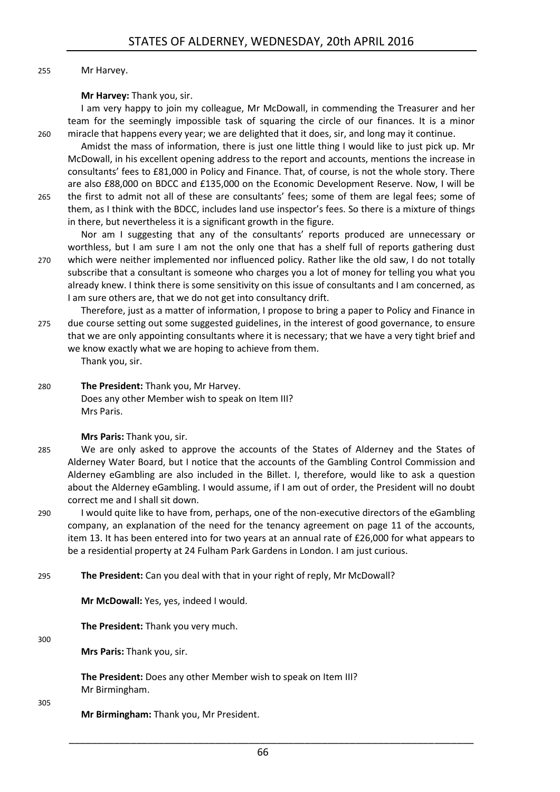#### 255 Mr Harvey.

#### **Mr Harvey:** Thank you, sir.

I am very happy to join my colleague, Mr McDowall, in commending the Treasurer and her team for the seemingly impossible task of squaring the circle of our finances. It is a minor 260 miracle that happens every year; we are delighted that it does, sir, and long may it continue.

Amidst the mass of information, there is just one little thing I would like to just pick up. Mr McDowall, in his excellent opening address to the report and accounts, mentions the increase in consultants' fees to £81,000 in Policy and Finance. That, of course, is not the whole story. There are also £88,000 on BDCC and £135,000 on the Economic Development Reserve. Now, I will be 265 the first to admit not all of these are consultants' fees; some of them are legal fees; some of

them, as I think with the BDCC, includes land use inspector's fees. So there is a mixture of things in there, but nevertheless it is a significant growth in the figure.

Nor am I suggesting that any of the consultants' reports produced are unnecessary or worthless, but I am sure I am not the only one that has a shelf full of reports gathering dust 270 which were neither implemented nor influenced policy. Rather like the old saw, I do not totally subscribe that a consultant is someone who charges you a lot of money for telling you what you already knew. I think there is some sensitivity on this issue of consultants and I am concerned, as I am sure others are, that we do not get into consultancy drift.

Therefore, just as a matter of information, I propose to bring a paper to Policy and Finance in 275 due course setting out some suggested guidelines, in the interest of good governance, to ensure that we are only appointing consultants where it is necessary; that we have a very tight brief and we know exactly what we are hoping to achieve from them.

Thank you, sir.

280 **The President:** Thank you, Mr Harvey. Does any other Member wish to speak on Item III? Mrs Paris.

#### **Mrs Paris:** Thank you, sir.

- 285 We are only asked to approve the accounts of the States of Alderney and the States of Alderney Water Board, but I notice that the accounts of the Gambling Control Commission and Alderney eGambling are also included in the Billet. I, therefore, would like to ask a question about the Alderney eGambling. I would assume, if I am out of order, the President will no doubt correct me and I shall sit down.
- 290 I would quite like to have from, perhaps, one of the non-executive directors of the eGambling company, an explanation of the need for the tenancy agreement on page 11 of the accounts, item 13. It has been entered into for two years at an annual rate of £26,000 for what appears to be a residential property at 24 Fulham Park Gardens in London. I am just curious.
- 295 **The President:** Can you deal with that in your right of reply, Mr McDowall?

**Mr McDowall:** Yes, yes, indeed I would.

**The President:** Thank you very much.

300

**Mrs Paris:** Thank you, sir.

**The President:** Does any other Member wish to speak on Item III? Mr Birmingham.

305

**Mr Birmingham:** Thank you, Mr President.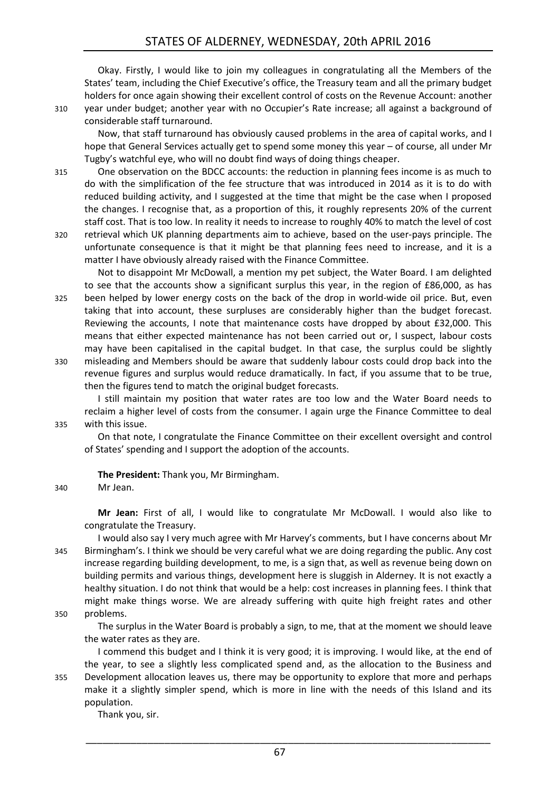Okay. Firstly, I would like to join my colleagues in congratulating all the Members of the States' team, including the Chief Executive's office, the Treasury team and all the primary budget holders for once again showing their excellent control of costs on the Revenue Account: another 310 year under budget; another year with no Occupier's Rate increase; all against a background of considerable staff turnaround.

Now, that staff turnaround has obviously caused problems in the area of capital works, and I hope that General Services actually get to spend some money this year – of course, all under Mr Tugby's watchful eye, who will no doubt find ways of doing things cheaper.

315 One observation on the BDCC accounts: the reduction in planning fees income is as much to do with the simplification of the fee structure that was introduced in 2014 as it is to do with reduced building activity, and I suggested at the time that might be the case when I proposed the changes. I recognise that, as a proportion of this, it roughly represents 20% of the current staff cost. That is too low. In reality it needs to increase to roughly 40% to match the level of cost 320 retrieval which UK planning departments aim to achieve, based on the user-pays principle. The

unfortunate consequence is that it might be that planning fees need to increase, and it is a matter I have obviously already raised with the Finance Committee.

Not to disappoint Mr McDowall, a mention my pet subject, the Water Board. I am delighted to see that the accounts show a significant surplus this year, in the region of £86,000, as has 325 been helped by lower energy costs on the back of the drop in world-wide oil price. But, even taking that into account, these surpluses are considerably higher than the budget forecast. Reviewing the accounts, I note that maintenance costs have dropped by about £32,000. This means that either expected maintenance has not been carried out or, I suspect, labour costs may have been capitalised in the capital budget. In that case, the surplus could be slightly 330 misleading and Members should be aware that suddenly labour costs could drop back into the

revenue figures and surplus would reduce dramatically. In fact, if you assume that to be true, then the figures tend to match the original budget forecasts.

I still maintain my position that water rates are too low and the Water Board needs to reclaim a higher level of costs from the consumer. I again urge the Finance Committee to deal 335 with this issue.

On that note, I congratulate the Finance Committee on their excellent oversight and control of States' spending and I support the adoption of the accounts.

**The President:** Thank you, Mr Birmingham.

#### 340 Mr Jean.

**Mr Jean:** First of all, I would like to congratulate Mr McDowall. I would also like to congratulate the Treasury.

I would also say I very much agree with Mr Harvey's comments, but I have concerns about Mr 345 Birmingham's. I think we should be very careful what we are doing regarding the public. Any cost increase regarding building development, to me, is a sign that, as well as revenue being down on building permits and various things, development here is sluggish in Alderney. It is not exactly a healthy situation. I do not think that would be a help: cost increases in planning fees. I think that might make things worse. We are already suffering with quite high freight rates and other 350 problems.

The surplus in the Water Board is probably a sign, to me, that at the moment we should leave the water rates as they are.

I commend this budget and I think it is very good; it is improving. I would like, at the end of the year, to see a slightly less complicated spend and, as the allocation to the Business and 355 Development allocation leaves us, there may be opportunity to explore that more and perhaps make it a slightly simpler spend, which is more in line with the needs of this Island and its population.

Thank you, sir.

67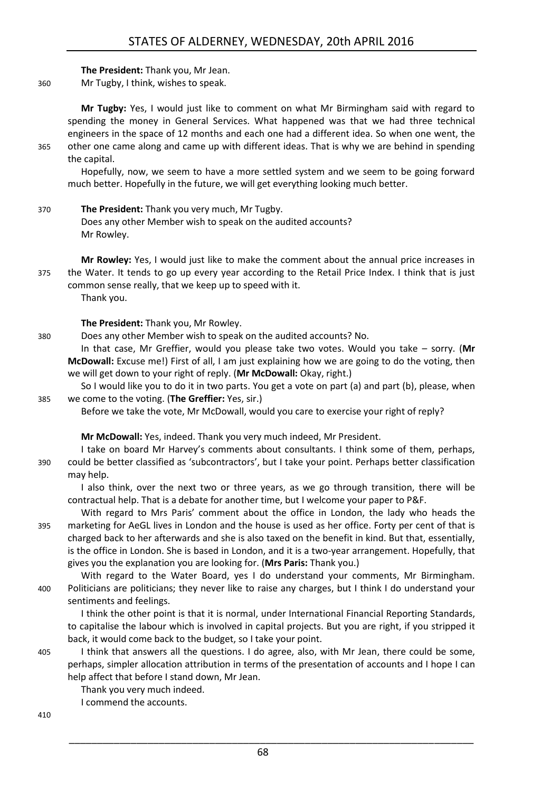**The President:** Thank you, Mr Jean.

360 Mr Tugby, I think, wishes to speak.

**Mr Tugby:** Yes, I would just like to comment on what Mr Birmingham said with regard to spending the money in General Services. What happened was that we had three technical engineers in the space of 12 months and each one had a different idea. So when one went, the 365 other one came along and came up with different ideas. That is why we are behind in spending

the capital. Hopefully, now, we seem to have a more settled system and we seem to be going forward

much better. Hopefully in the future, we will get everything looking much better.

370 **The President:** Thank you very much, Mr Tugby. Does any other Member wish to speak on the audited accounts? Mr Rowley.

**Mr Rowley:** Yes, I would just like to make the comment about the annual price increases in 375 the Water. It tends to go up every year according to the Retail Price Index. I think that is just common sense really, that we keep up to speed with it. Thank you.

**The President:** Thank you, Mr Rowley.

380 Does any other Member wish to speak on the audited accounts? No.

In that case, Mr Greffier, would you please take two votes. Would you take – sorry. (**Mr McDowall:** Excuse me!) First of all, I am just explaining how we are going to do the voting, then we will get down to your right of reply. (**Mr McDowall:** Okay, right.)

So I would like you to do it in two parts. You get a vote on part (a) and part (b), please, when 385 we come to the voting. (**The Greffier:** Yes, sir.)

Before we take the vote, Mr McDowall, would you care to exercise your right of reply?

**Mr McDowall:** Yes, indeed. Thank you very much indeed, Mr President.

I take on board Mr Harvey's comments about consultants. I think some of them, perhaps, 390 could be better classified as 'subcontractors', but I take your point. Perhaps better classification may help.

I also think, over the next two or three years, as we go through transition, there will be contractual help. That is a debate for another time, but I welcome your paper to P&F.

With regard to Mrs Paris' comment about the office in London, the lady who heads the 395 marketing for AeGL lives in London and the house is used as her office. Forty per cent of that is charged back to her afterwards and she is also taxed on the benefit in kind. But that, essentially, is the office in London. She is based in London, and it is a two-year arrangement. Hopefully, that gives you the explanation you are looking for. (**Mrs Paris:** Thank you.)

With regard to the Water Board, yes I do understand your comments, Mr Birmingham. 400 Politicians are politicians; they never like to raise any charges, but I think I do understand your sentiments and feelings.

I think the other point is that it is normal, under International Financial Reporting Standards, to capitalise the labour which is involved in capital projects. But you are right, if you stripped it back, it would come back to the budget, so I take your point.

405 I think that answers all the questions. I do agree, also, with Mr Jean, there could be some, perhaps, simpler allocation attribution in terms of the presentation of accounts and I hope I can help affect that before I stand down, Mr Jean.

Thank you very much indeed.

I commend the accounts.

410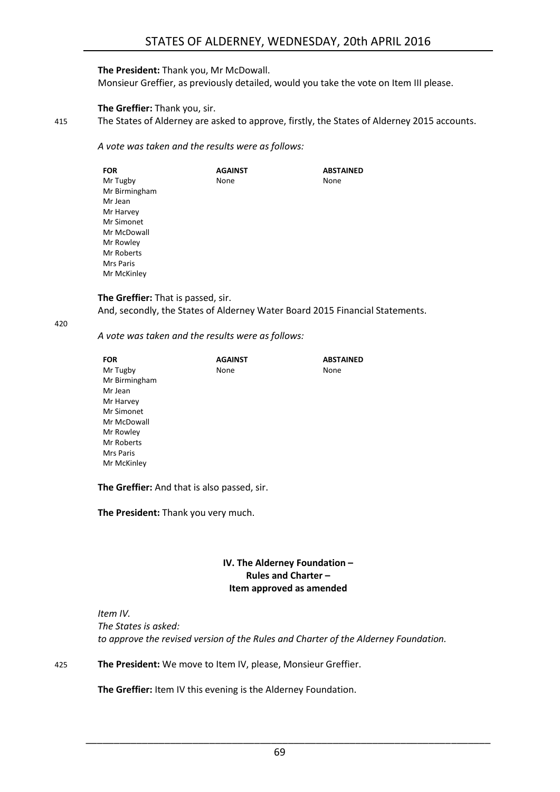#### **The President:** Thank you, Mr McDowall.

Monsieur Greffier, as previously detailed, would you take the vote on Item III please.

#### **The Greffier:** Thank you, sir.

415 The States of Alderney are asked to approve, firstly, the States of Alderney 2015 accounts.

*A vote was taken and the results were as follows:*

| <b>FOR</b>    | <b>AGAINST</b> | <b>ABSTAINED</b> |
|---------------|----------------|------------------|
| Mr Tugby      | None           | None             |
| Mr Birmingham |                |                  |
| Mr Jean       |                |                  |
| Mr Harvey     |                |                  |
| Mr Simonet    |                |                  |
| Mr McDowall   |                |                  |
| Mr Rowley     |                |                  |
| Mr Roberts    |                |                  |
| Mrs Paris     |                |                  |
| Mr McKinley   |                |                  |

#### **The Greffier:** That is passed, sir.

And, secondly, the States of Alderney Water Board 2015 Financial Statements.

420

*A vote was taken and the results were as follows:*

| <b>FOR</b>    | <b>AGAINST</b> | <b>ABSTAINED</b> |
|---------------|----------------|------------------|
| Mr Tugby      | None           | None             |
| Mr Birmingham |                |                  |
| Mr Jean       |                |                  |
| Mr Harvey     |                |                  |
| Mr Simonet    |                |                  |
| Mr McDowall   |                |                  |
| Mr Rowley     |                |                  |
| Mr Roberts    |                |                  |
| Mrs Paris     |                |                  |
| Mr McKinley   |                |                  |

**The Greffier:** And that is also passed, sir.

<span id="page-12-0"></span>**The President:** Thank you very much.

#### **IV. The Alderney Foundation – Rules and Charter – Item approved as amended**

*Item IV. The States is asked: to approve the revised version of the Rules and Charter of the Alderney Foundation.* 

425 **The President:** We move to Item IV, please, Monsieur Greffier.

**The Greffier:** Item IV this evening is the Alderney Foundation.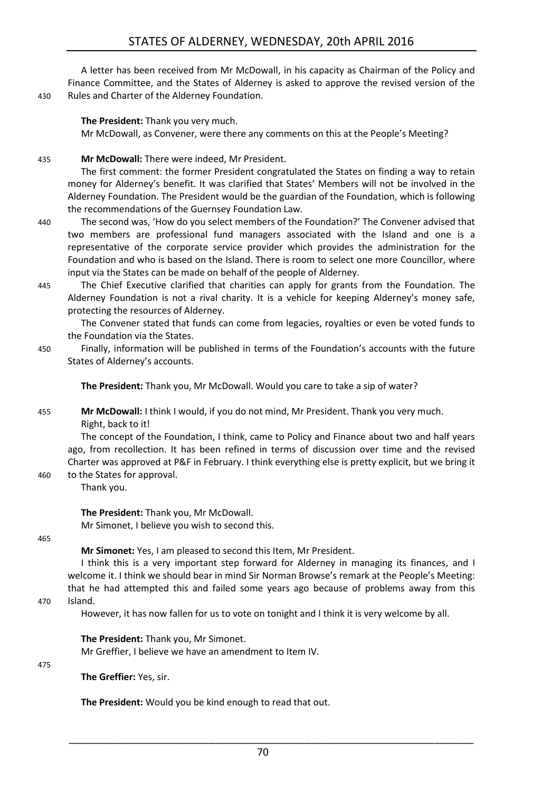A letter has been received from Mr McDowall, in his capacity as Chairman of the Policy and Finance Committee, and the States of Alderney is asked to approve the revised version of the 430 Rules and Charter of the Alderney Foundation.

**The President:** Thank you very much. Mr McDowall, as Convener, were there any comments on this at the People's Meeting?

435 **Mr McDowall:** There were indeed, Mr President.

The first comment: the former President congratulated the States on finding a way to retain money for Alderney's benefit. It was clarified that States' Members will not be involved in the Alderney Foundation. The President would be the guardian of the Foundation, which is following the recommendations of the Guernsey Foundation Law.

- 440 The second was, 'How do you select members of the Foundation?' The Convener advised that two members are professional fund managers associated with the Island and one is a representative of the corporate service provider which provides the administration for the Foundation and who is based on the Island. There is room to select one more Councillor, where input via the States can be made on behalf of the people of Alderney.
- 445 The Chief Executive clarified that charities can apply for grants from the Foundation. The Alderney Foundation is not a rival charity. It is a vehicle for keeping Alderney's money safe, protecting the resources of Alderney.

The Convener stated that funds can come from legacies, royalties or even be voted funds to the Foundation via the States.

450 Finally, information will be published in terms of the Foundation's accounts with the future States of Alderney's accounts.

**The President:** Thank you, Mr McDowall. Would you care to take a sip of water?

455 **Mr McDowall:** I think I would, if you do not mind, Mr President. Thank you very much. Right, back to it!

The concept of the Foundation, I think, came to Policy and Finance about two and half years ago, from recollection. It has been refined in terms of discussion over time and the revised Charter was approved at P&F in February. I think everything else is pretty explicit, but we bring it

460 to the States for approval. Thank you.

> **The President:** Thank you, Mr McDowall. Mr Simonet, I believe you wish to second this.

465

**Mr Simonet:** Yes, I am pleased to second this Item, Mr President.

I think this is a very important step forward for Alderney in managing its finances, and I welcome it. I think we should bear in mind Sir Norman Browse's remark at the People's Meeting: that he had attempted this and failed some years ago because of problems away from this

470 Island.

However, it has now fallen for us to vote on tonight and I think it is very welcome by all.

**The President:** Thank you, Mr Simonet.

Mr Greffier, I believe we have an amendment to Item IV.

475

**The Greffier:** Yes, sir.

**The President:** Would you be kind enough to read that out.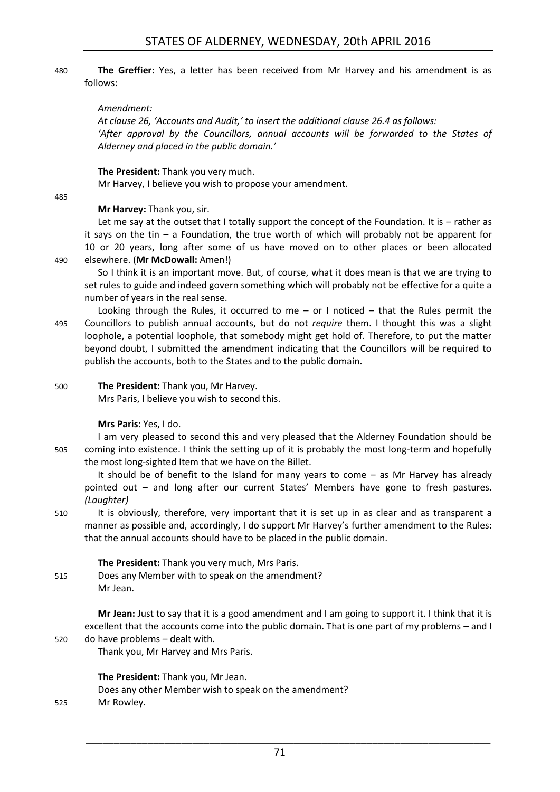#### 480 **The Greffier:** Yes, a letter has been received from Mr Harvey and his amendment is as follows:

#### *Amendment:*

*At clause 26, 'Accounts and Audit,' to insert the additional clause 26.4 as follows: 'After approval by the Councillors, annual accounts will be forwarded to the States of Alderney and placed in the public domain.'*

**The President:** Thank you very much.

Mr Harvey, I believe you wish to propose your amendment.

485

#### **Mr Harvey:** Thank you, sir.

Let me say at the outset that I totally support the concept of the Foundation. It is – rather as it says on the tin – a Foundation, the true worth of which will probably not be apparent for 10 or 20 years, long after some of us have moved on to other places or been allocated 490 elsewhere. (**Mr McDowall:** Amen!)

So I think it is an important move. But, of course, what it does mean is that we are trying to set rules to guide and indeed govern something which will probably not be effective for a quite a

number of years in the real sense.

- Looking through the Rules, it occurred to me  $-$  or I noticed  $-$  that the Rules permit the 495 Councillors to publish annual accounts, but do not *require* them. I thought this was a slight loophole, a potential loophole, that somebody might get hold of. Therefore, to put the matter beyond doubt, I submitted the amendment indicating that the Councillors will be required to publish the accounts, both to the States and to the public domain.
- 500 **The President:** Thank you, Mr Harvey.

Mrs Paris, I believe you wish to second this.

#### **Mrs Paris:** Yes, I do.

I am very pleased to second this and very pleased that the Alderney Foundation should be 505 coming into existence. I think the setting up of it is probably the most long-term and hopefully the most long-sighted Item that we have on the Billet.

It should be of benefit to the Island for many years to come – as Mr Harvey has already pointed out – and long after our current States' Members have gone to fresh pastures. *(Laughter)* 

510 It is obviously, therefore, very important that it is set up in as clear and as transparent a manner as possible and, accordingly, I do support Mr Harvey's further amendment to the Rules: that the annual accounts should have to be placed in the public domain.

#### **The President:** Thank you very much, Mrs Paris.

515 Does any Member with to speak on the amendment? Mr Jean.

**Mr Jean:** Just to say that it is a good amendment and I am going to support it. I think that it is excellent that the accounts come into the public domain. That is one part of my problems – and I 520 do have problems – dealt with.

Thank you, Mr Harvey and Mrs Paris.

**The President:** Thank you, Mr Jean.

Does any other Member wish to speak on the amendment?

525 Mr Rowley.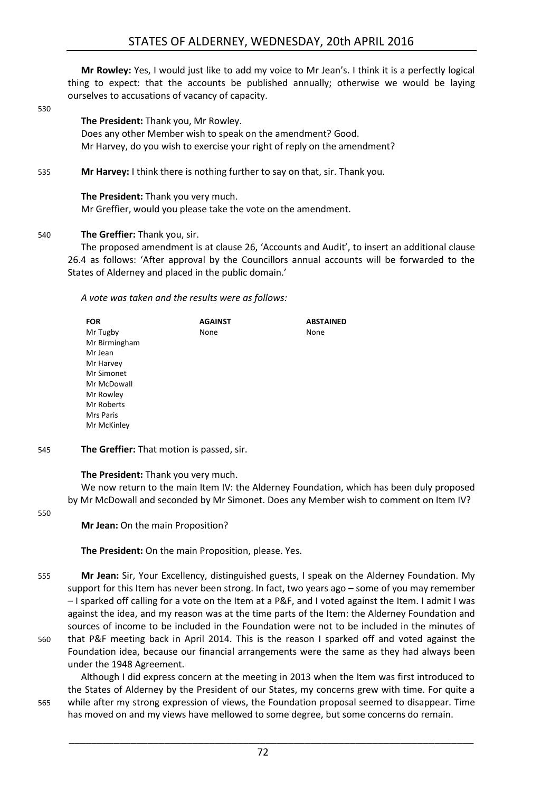**Mr Rowley:** Yes, I would just like to add my voice to Mr Jean's. I think it is a perfectly logical thing to expect: that the accounts be published annually; otherwise we would be laying ourselves to accusations of vacancy of capacity.

530

#### **The President:** Thank you, Mr Rowley.

Does any other Member wish to speak on the amendment? Good. Mr Harvey, do you wish to exercise your right of reply on the amendment?

535 **Mr Harvey:** I think there is nothing further to say on that, sir. Thank you.

**The President:** Thank you very much. Mr Greffier, would you please take the vote on the amendment.

#### 540 **The Greffier:** Thank you, sir.

The proposed amendment is at clause 26, 'Accounts and Audit', to insert an additional clause 26.4 as follows: 'After approval by the Councillors annual accounts will be forwarded to the States of Alderney and placed in the public domain.'

*A vote was taken and the results were as follows:*

| <b>FOR</b>       | <b>AGAINST</b> | <b>ABSTAINED</b> |
|------------------|----------------|------------------|
| Mr Tugby         | None           | None             |
| Mr Birmingham    |                |                  |
| Mr Jean          |                |                  |
| Mr Harvey        |                |                  |
| Mr Simonet       |                |                  |
| Mr McDowall      |                |                  |
| Mr Rowley        |                |                  |
| Mr Roberts       |                |                  |
| <b>Mrs Paris</b> |                |                  |
| Mr McKinley      |                |                  |

545 **The Greffier:** That motion is passed, sir.

**The President:** Thank you very much.

We now return to the main Item IV: the Alderney Foundation, which has been duly proposed by Mr McDowall and seconded by Mr Simonet. Does any Member wish to comment on Item IV?

550

**Mr Jean:** On the main Proposition?

**The President:** On the main Proposition, please. Yes.

- 555 **Mr Jean:** Sir, Your Excellency, distinguished guests, I speak on the Alderney Foundation. My support for this Item has never been strong. In fact, two years ago – some of you may remember – I sparked off calling for a vote on the Item at a P&F, and I voted against the Item. I admit I was against the idea, and my reason was at the time parts of the Item: the Alderney Foundation and sources of income to be included in the Foundation were not to be included in the minutes of
- 560 that P&F meeting back in April 2014. This is the reason I sparked off and voted against the Foundation idea, because our financial arrangements were the same as they had always been under the 1948 Agreement.

Although I did express concern at the meeting in 2013 when the Item was first introduced to the States of Alderney by the President of our States, my concerns grew with time. For quite a 565 while after my strong expression of views, the Foundation proposal seemed to disappear. Time has moved on and my views have mellowed to some degree, but some concerns do remain.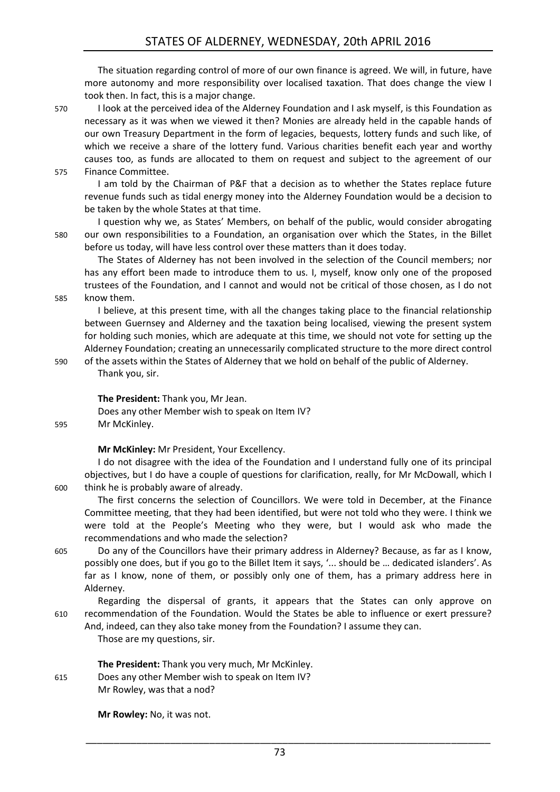The situation regarding control of more of our own finance is agreed. We will, in future, have more autonomy and more responsibility over localised taxation. That does change the view I took then. In fact, this is a major change.

570 I look at the perceived idea of the Alderney Foundation and I ask myself, is this Foundation as necessary as it was when we viewed it then? Monies are already held in the capable hands of our own Treasury Department in the form of legacies, bequests, lottery funds and such like, of which we receive a share of the lottery fund. Various charities benefit each year and worthy causes too, as funds are allocated to them on request and subject to the agreement of our 575 Finance Committee.

I am told by the Chairman of P&F that a decision as to whether the States replace future revenue funds such as tidal energy money into the Alderney Foundation would be a decision to be taken by the whole States at that time.

I question why we, as States' Members, on behalf of the public, would consider abrogating 580 our own responsibilities to a Foundation, an organisation over which the States, in the Billet before us today, will have less control over these matters than it does today.

The States of Alderney has not been involved in the selection of the Council members; nor has any effort been made to introduce them to us. I, myself, know only one of the proposed trustees of the Foundation, and I cannot and would not be critical of those chosen, as I do not 585 know them.

I believe, at this present time, with all the changes taking place to the financial relationship between Guernsey and Alderney and the taxation being localised, viewing the present system for holding such monies, which are adequate at this time, we should not vote for setting up the Alderney Foundation; creating an unnecessarily complicated structure to the more direct control

590 of the assets within the States of Alderney that we hold on behalf of the public of Alderney. Thank you, sir.

**The President:** Thank you, Mr Jean.

Does any other Member wish to speak on Item IV?

595 Mr McKinley.

#### **Mr McKinley:** Mr President, Your Excellency.

I do not disagree with the idea of the Foundation and I understand fully one of its principal objectives, but I do have a couple of questions for clarification, really, for Mr McDowall, which I 600 think he is probably aware of already.

The first concerns the selection of Councillors. We were told in December, at the Finance Committee meeting, that they had been identified, but were not told who they were. I think we were told at the People's Meeting who they were, but I would ask who made the recommendations and who made the selection?

605 Do any of the Councillors have their primary address in Alderney? Because, as far as I know, possibly one does, but if you go to the Billet Item it says, '... should be … dedicated islanders'. As far as I know, none of them, or possibly only one of them, has a primary address here in Alderney.

Regarding the dispersal of grants, it appears that the States can only approve on 610 recommendation of the Foundation. Would the States be able to influence or exert pressure? And, indeed, can they also take money from the Foundation? I assume they can.

Those are my questions, sir.

**The President:** Thank you very much, Mr McKinley.

615 Does any other Member wish to speak on Item IV?

Mr Rowley, was that a nod?

**Mr Rowley:** No, it was not.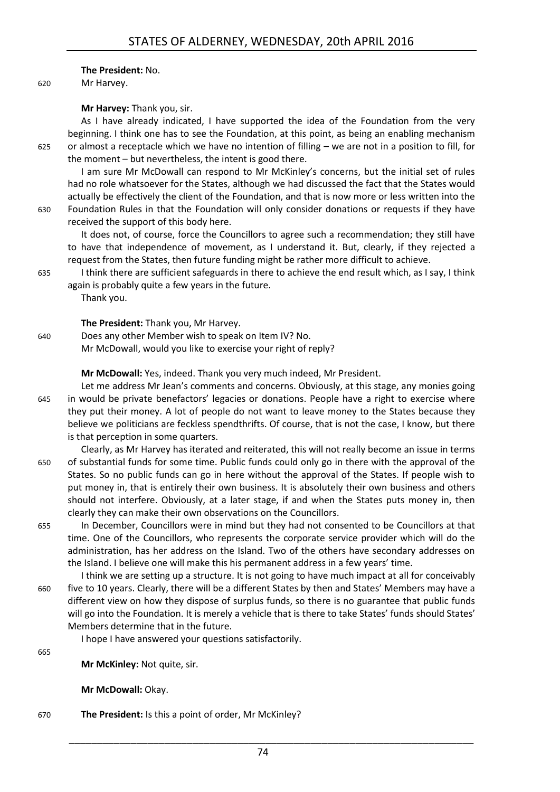#### **The President:** No.

620 Mr Harvey.

#### **Mr Harvey:** Thank you, sir.

As I have already indicated, I have supported the idea of the Foundation from the very beginning. I think one has to see the Foundation, at this point, as being an enabling mechanism 625 or almost a receptacle which we have no intention of filling – we are not in a position to fill, for the moment – but nevertheless, the intent is good there.

I am sure Mr McDowall can respond to Mr McKinley's concerns, but the initial set of rules had no role whatsoever for the States, although we had discussed the fact that the States would actually be effectively the client of the Foundation, and that is now more or less written into the 630 Foundation Rules in that the Foundation will only consider donations or requests if they have

received the support of this body here.

It does not, of course, force the Councillors to agree such a recommendation; they still have to have that independence of movement, as I understand it. But, clearly, if they rejected a request from the States, then future funding might be rather more difficult to achieve.

635 I think there are sufficient safeguards in there to achieve the end result which, as I say, I think again is probably quite a few years in the future.

Thank you.

**The President:** Thank you, Mr Harvey.

640 Does any other Member wish to speak on Item IV? No. Mr McDowall, would you like to exercise your right of reply?

**Mr McDowall:** Yes, indeed. Thank you very much indeed, Mr President.

- Let me address Mr Jean's comments and concerns. Obviously, at this stage, any monies going 645 in would be private benefactors' legacies or donations. People have a right to exercise where they put their money. A lot of people do not want to leave money to the States because they believe we politicians are feckless spendthrifts. Of course, that is not the case, I know, but there is that perception in some quarters.
- Clearly, as Mr Harvey has iterated and reiterated, this will not really become an issue in terms 650 of substantial funds for some time. Public funds could only go in there with the approval of the States. So no public funds can go in here without the approval of the States. If people wish to put money in, that is entirely their own business. It is absolutely their own business and others should not interfere. Obviously, at a later stage, if and when the States puts money in, then clearly they can make their own observations on the Councillors.
- 655 In December, Councillors were in mind but they had not consented to be Councillors at that time. One of the Councillors, who represents the corporate service provider which will do the administration, has her address on the Island. Two of the others have secondary addresses on the Island. I believe one will make this his permanent address in a few years' time.
- I think we are setting up a structure. It is not going to have much impact at all for conceivably 660 five to 10 years. Clearly, there will be a different States by then and States' Members may have a different view on how they dispose of surplus funds, so there is no guarantee that public funds will go into the Foundation. It is merely a vehicle that is there to take States' funds should States' Members determine that in the future.

I hope I have answered your questions satisfactorily.

665

**Mr McKinley:** Not quite, sir.

**Mr McDowall:** Okay.

670 **The President:** Is this a point of order, Mr McKinley?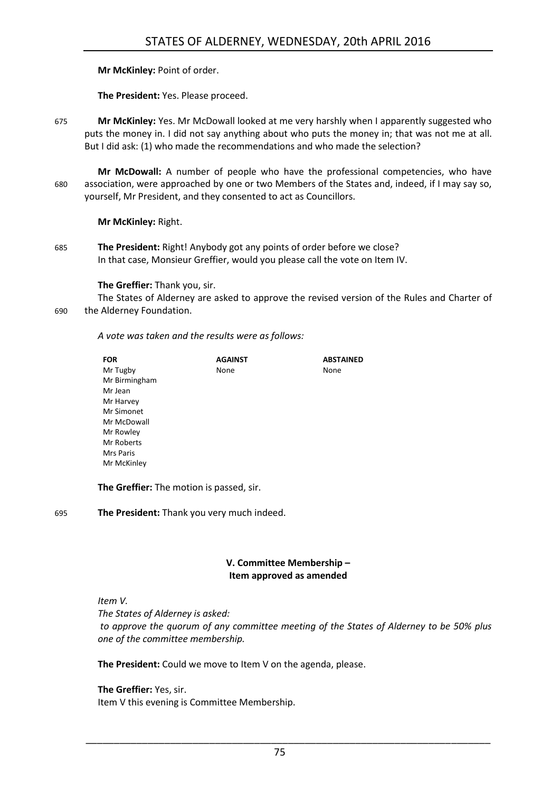**Mr McKinley:** Point of order.

**The President:** Yes. Please proceed.

675 **Mr McKinley:** Yes. Mr McDowall looked at me very harshly when I apparently suggested who puts the money in. I did not say anything about who puts the money in; that was not me at all. But I did ask: (1) who made the recommendations and who made the selection?

**Mr McDowall:** A number of people who have the professional competencies, who have 680 association, were approached by one or two Members of the States and, indeed, if I may say so, yourself, Mr President, and they consented to act as Councillors.

**Mr McKinley:** Right.

685 **The President:** Right! Anybody got any points of order before we close? In that case, Monsieur Greffier, would you please call the vote on Item IV.

**The Greffier:** Thank you, sir.

The States of Alderney are asked to approve the revised version of the Rules and Charter of 690 the Alderney Foundation.

*A vote was taken and the results were as follows:*

| <b>FOR</b>    | <b>AGAINST</b> | <b>ABSTAINED</b> |
|---------------|----------------|------------------|
| Mr Tugby      | None           | None             |
| Mr Birmingham |                |                  |
| Mr Jean       |                |                  |
| Mr Harvey     |                |                  |
| Mr Simonet    |                |                  |
| Mr McDowall   |                |                  |
| Mr Rowley     |                |                  |
| Mr Roberts    |                |                  |
| Mrs Paris     |                |                  |
| Mr McKinley   |                |                  |

**The Greffier:** The motion is passed, sir.

695 **The President:** Thank you very much indeed.

#### **V. Committee Membership – Item approved as amended**

<span id="page-18-0"></span>*Item V.*

*The States of Alderney is asked:*

*to approve the quorum of any committee meeting of the States of Alderney to be 50% plus one of the committee membership.*

**The President:** Could we move to Item V on the agenda, please.

#### **The Greffier:** Yes, sir. Item V this evening is Committee Membership.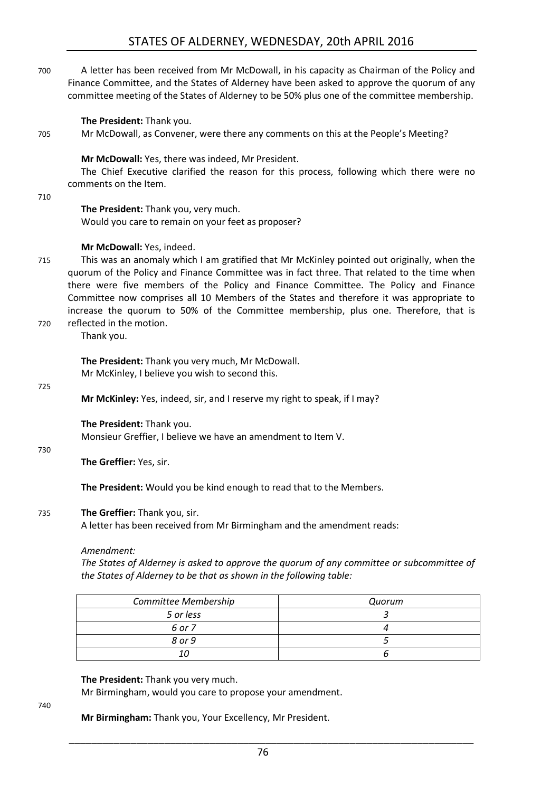700 A letter has been received from Mr McDowall, in his capacity as Chairman of the Policy and Finance Committee, and the States of Alderney have been asked to approve the quorum of any committee meeting of the States of Alderney to be 50% plus one of the committee membership.

**The President:** Thank you.

705 Mr McDowall, as Convener, were there any comments on this at the People's Meeting?

**Mr McDowall:** Yes, there was indeed, Mr President.

The Chief Executive clarified the reason for this process, following which there were no comments on the Item.

710

**The President:** Thank you, very much. Would you care to remain on your feet as proposer?

#### **Mr McDowall:** Yes, indeed.

715 This was an anomaly which I am gratified that Mr McKinley pointed out originally, when the quorum of the Policy and Finance Committee was in fact three. That related to the time when there were five members of the Policy and Finance Committee. The Policy and Finance Committee now comprises all 10 Members of the States and therefore it was appropriate to increase the quorum to 50% of the Committee membership, plus one. Therefore, that is 720 reflected in the motion.

Thank you.

**The President:** Thank you very much, Mr McDowall. Mr McKinley, I believe you wish to second this.

725

**Mr McKinley:** Yes, indeed, sir, and I reserve my right to speak, if I may?

**The President:** Thank you. Monsieur Greffier, I believe we have an amendment to Item V.

730

**The Greffier:** Yes, sir.

**The President:** Would you be kind enough to read that to the Members.

#### 735 **The Greffier:** Thank you, sir.

A letter has been received from Mr Birmingham and the amendment reads:

#### *Amendment:*

*The States of Alderney is asked to approve the quorum of any committee or subcommittee of the States of Alderney to be that as shown in the following table:* 

| Committee Membership | Quorum |
|----------------------|--------|
| 5 or less            |        |
| 6 or 7               |        |
| 8 or 9               |        |
|                      |        |

#### **The President:** Thank you very much.

Mr Birmingham, would you care to propose your amendment.

740

**Mr Birmingham:** Thank you, Your Excellency, Mr President.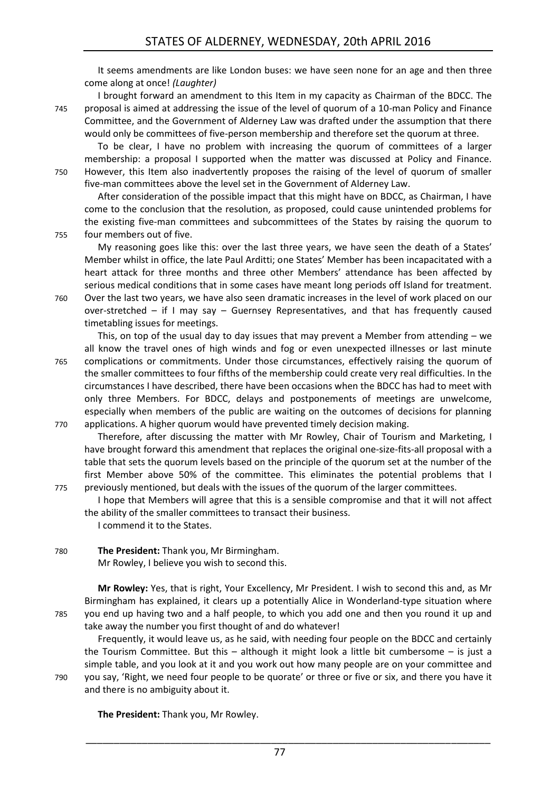It seems amendments are like London buses: we have seen none for an age and then three come along at once! *(Laughter)*

I brought forward an amendment to this Item in my capacity as Chairman of the BDCC. The 745 proposal is aimed at addressing the issue of the level of quorum of a 10-man Policy and Finance Committee, and the Government of Alderney Law was drafted under the assumption that there would only be committees of five-person membership and therefore set the quorum at three.

To be clear, I have no problem with increasing the quorum of committees of a larger membership: a proposal I supported when the matter was discussed at Policy and Finance. 750 However, this Item also inadvertently proposes the raising of the level of quorum of smaller five-man committees above the level set in the Government of Alderney Law.

After consideration of the possible impact that this might have on BDCC, as Chairman, I have come to the conclusion that the resolution, as proposed, could cause unintended problems for the existing five-man committees and subcommittees of the States by raising the quorum to 755 four members out of five.

My reasoning goes like this: over the last three years, we have seen the death of a States' Member whilst in office, the late Paul Arditti; one States' Member has been incapacitated with a heart attack for three months and three other Members' attendance has been affected by serious medical conditions that in some cases have meant long periods off Island for treatment. 760 Over the last two years, we have also seen dramatic increases in the level of work placed on our

- over-stretched if I may say Guernsey Representatives, and that has frequently caused timetabling issues for meetings.
- This, on top of the usual day to day issues that may prevent a Member from attending  $-$  we all know the travel ones of high winds and fog or even unexpected illnesses or last minute 765 complications or commitments. Under those circumstances, effectively raising the quorum of the smaller committees to four fifths of the membership could create very real difficulties. In the circumstances I have described, there have been occasions when the BDCC has had to meet with only three Members. For BDCC, delays and postponements of meetings are unwelcome, especially when members of the public are waiting on the outcomes of decisions for planning 770 applications. A higher quorum would have prevented timely decision making.
- Therefore, after discussing the matter with Mr Rowley, Chair of Tourism and Marketing, I have brought forward this amendment that replaces the original one-size-fits-all proposal with a table that sets the quorum levels based on the principle of the quorum set at the number of the first Member above 50% of the committee. This eliminates the potential problems that I 775 previously mentioned, but deals with the issues of the quorum of the larger committees.
	- I hope that Members will agree that this is a sensible compromise and that it will not affect the ability of the smaller committees to transact their business.

I commend it to the States.

780 **The President:** Thank you, Mr Birmingham. Mr Rowley, I believe you wish to second this.

**Mr Rowley:** Yes, that is right, Your Excellency, Mr President. I wish to second this and, as Mr Birmingham has explained, it clears up a potentially Alice in Wonderland-type situation where 785 you end up having two and a half people, to which you add one and then you round it up and take away the number you first thought of and do whatever!

Frequently, it would leave us, as he said, with needing four people on the BDCC and certainly the Tourism Committee. But this – although it might look a little bit cumbersome – is just a simple table, and you look at it and you work out how many people are on your committee and 790 you say, 'Right, we need four people to be quorate' or three or five or six, and there you have it and there is no ambiguity about it.

**The President:** Thank you, Mr Rowley.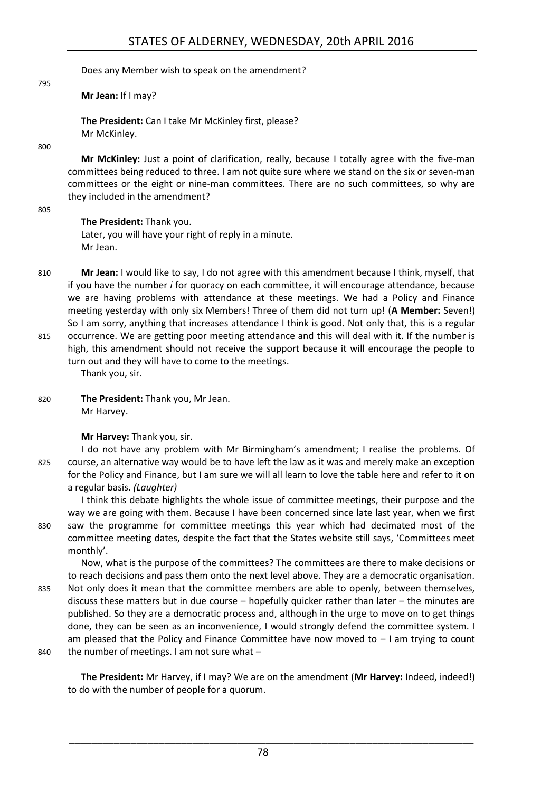Does any Member wish to speak on the amendment?

**Mr Jean:** If I may?

**The President:** Can I take Mr McKinley first, please? Mr McKinley.

800

795

**Mr McKinley:** Just a point of clarification, really, because I totally agree with the five-man committees being reduced to three. I am not quite sure where we stand on the six or seven-man committees or the eight or nine-man committees. There are no such committees, so why are they included in the amendment?

805

#### **The President:** Thank you.

Later, you will have your right of reply in a minute. Mr Jean.

810 **Mr Jean:** I would like to say, I do not agree with this amendment because I think, myself, that if you have the number *i* for quoracy on each committee, it will encourage attendance, because we are having problems with attendance at these meetings. We had a Policy and Finance meeting yesterday with only six Members! Three of them did not turn up! (**A Member:** Seven!) So I am sorry, anything that increases attendance I think is good. Not only that, this is a regular 815 occurrence. We are getting poor meeting attendance and this will deal with it. If the number is

high, this amendment should not receive the support because it will encourage the people to turn out and they will have to come to the meetings.

Thank you, sir.

820 **The President:** Thank you, Mr Jean. Mr Harvey.

**Mr Harvey:** Thank you, sir.

I do not have any problem with Mr Birmingham's amendment; I realise the problems. Of 825 course, an alternative way would be to have left the law as it was and merely make an exception for the Policy and Finance, but I am sure we will all learn to love the table here and refer to it on a regular basis. *(Laughter)*

I think this debate highlights the whole issue of committee meetings, their purpose and the way we are going with them. Because I have been concerned since late last year, when we first 830 saw the programme for committee meetings this year which had decimated most of the committee meeting dates, despite the fact that the States website still says, 'Committees meet monthly'.

Now, what is the purpose of the committees? The committees are there to make decisions or to reach decisions and pass them onto the next level above. They are a democratic organisation. 835 Not only does it mean that the committee members are able to openly, between themselves, discuss these matters but in due course – hopefully quicker rather than later – the minutes are published. So they are a democratic process and, although in the urge to move on to get things done, they can be seen as an inconvenience, I would strongly defend the committee system. I am pleased that the Policy and Finance Committee have now moved to  $-1$  am trying to count 840 the number of meetings. I am not sure what -

**The President:** Mr Harvey, if I may? We are on the amendment (**Mr Harvey:** Indeed, indeed!) to do with the number of people for a quorum.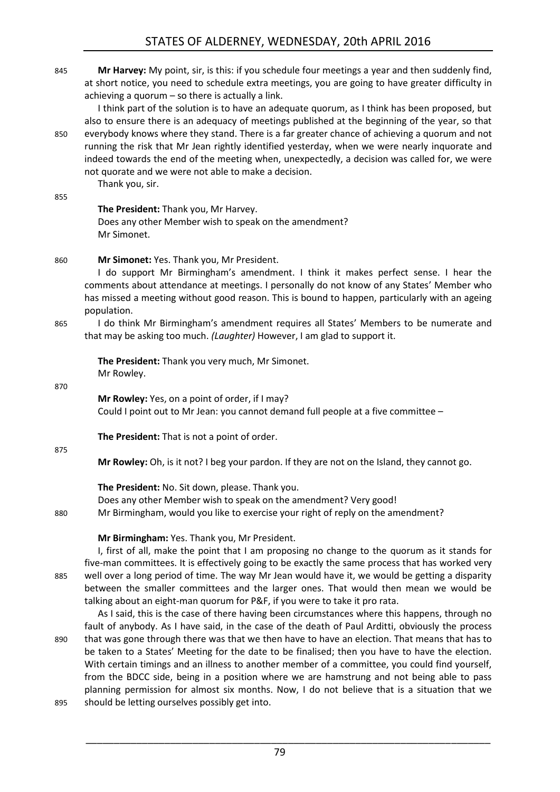845 **Mr Harvey:** My point, sir, is this: if you schedule four meetings a year and then suddenly find, at short notice, you need to schedule extra meetings, you are going to have greater difficulty in achieving a quorum – so there is actually a link.

I think part of the solution is to have an adequate quorum, as I think has been proposed, but also to ensure there is an adequacy of meetings published at the beginning of the year, so that 850 everybody knows where they stand. There is a far greater chance of achieving a quorum and not running the risk that Mr Jean rightly identified yesterday, when we were nearly inquorate and indeed towards the end of the meeting when, unexpectedly, a decision was called for, we were not quorate and we were not able to make a decision.

Thank you, sir.

#### 855

**The President:** Thank you, Mr Harvey. Does any other Member wish to speak on the amendment? Mr Simonet.

#### 860 **Mr Simonet:** Yes. Thank you, Mr President.

I do support Mr Birmingham's amendment. I think it makes perfect sense. I hear the comments about attendance at meetings. I personally do not know of any States' Member who has missed a meeting without good reason. This is bound to happen, particularly with an ageing population.

865 I do think Mr Birmingham's amendment requires all States' Members to be numerate and that may be asking too much. *(Laughter)* However, I am glad to support it.

**The President:** Thank you very much, Mr Simonet. Mr Rowley.

870

**Mr Rowley:** Yes, on a point of order, if I may? Could I point out to Mr Jean: you cannot demand full people at a five committee –

**The President:** That is not a point of order.

875

**Mr Rowley:** Oh, is it not? I beg your pardon. If they are not on the Island, they cannot go.

#### **The President:** No. Sit down, please. Thank you.

Does any other Member wish to speak on the amendment? Very good! 880 Mr Birmingham, would you like to exercise your right of reply on the amendment?

#### **Mr Birmingham:** Yes. Thank you, Mr President.

I, first of all, make the point that I am proposing no change to the quorum as it stands for five-man committees. It is effectively going to be exactly the same process that has worked very 885 well over a long period of time. The way Mr Jean would have it, we would be getting a disparity between the smaller committees and the larger ones. That would then mean we would be talking about an eight-man quorum for P&F, if you were to take it pro rata.

As I said, this is the case of there having been circumstances where this happens, through no fault of anybody. As I have said, in the case of the death of Paul Arditti, obviously the process 890 that was gone through there was that we then have to have an election. That means that has to be taken to a States' Meeting for the date to be finalised; then you have to have the election. With certain timings and an illness to another member of a committee, you could find yourself, from the BDCC side, being in a position where we are hamstrung and not being able to pass planning permission for almost six months. Now, I do not believe that is a situation that we

895 should be letting ourselves possibly get into.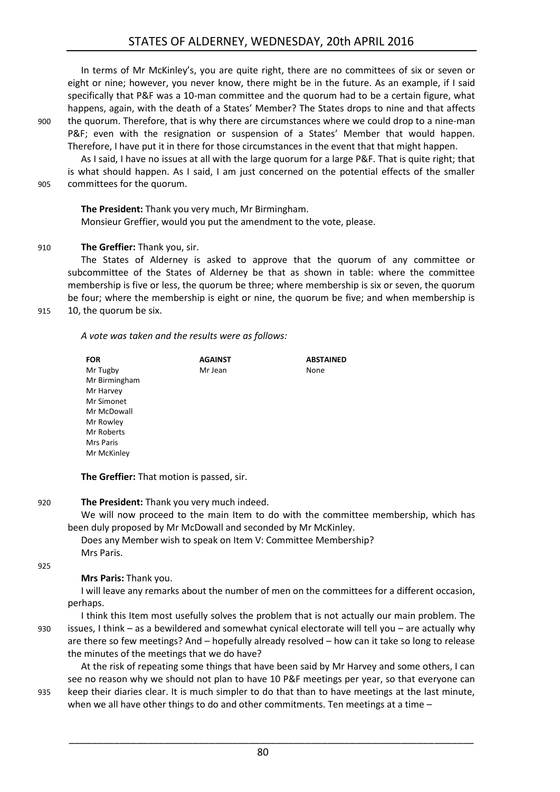In terms of Mr McKinley's, you are quite right, there are no committees of six or seven or eight or nine; however, you never know, there might be in the future. As an example, if I said specifically that P&F was a 10-man committee and the quorum had to be a certain figure, what happens, again, with the death of a States' Member? The States drops to nine and that affects 900 the quorum. Therefore, that is why there are circumstances where we could drop to a nine-man P&F; even with the resignation or suspension of a States' Member that would happen.

Therefore, I have put it in there for those circumstances in the event that that might happen. As I said, I have no issues at all with the large quorum for a large P&F. That is quite right; that

is what should happen. As I said, I am just concerned on the potential effects of the smaller 905 committees for the quorum.

**The President:** Thank you very much, Mr Birmingham. Monsieur Greffier, would you put the amendment to the vote, please.

#### 910 **The Greffier:** Thank you, sir.

The States of Alderney is asked to approve that the quorum of any committee or subcommittee of the States of Alderney be that as shown in table: where the committee membership is five or less, the quorum be three; where membership is six or seven, the quorum be four; where the membership is eight or nine, the quorum be five; and when membership is

915 10, the quorum be six.

*A vote was taken and the results were as follows:*

| <b>FOR</b>    | <b>AGAINST</b> | <b>ABSTAINED</b> |
|---------------|----------------|------------------|
| Mr Tugby      | Mr Jean        | None             |
| Mr Birmingham |                |                  |
| Mr Harvey     |                |                  |
| Mr Simonet    |                |                  |
| Mr McDowall   |                |                  |
| Mr Rowley     |                |                  |
| Mr Roberts    |                |                  |
| Mrs Paris     |                |                  |
| Mr McKinley   |                |                  |

**The Greffier:** That motion is passed, sir.

920 **The President:** Thank you very much indeed.

We will now proceed to the main Item to do with the committee membership, which has been duly proposed by Mr McDowall and seconded by Mr McKinley.

Does any Member wish to speak on Item V: Committee Membership? Mrs Paris.

925

**Mrs Paris:** Thank you.

I will leave any remarks about the number of men on the committees for a different occasion, perhaps.

I think this Item most usefully solves the problem that is not actually our main problem. The 930 issues, I think – as a bewildered and somewhat cynical electorate will tell you – are actually why are there so few meetings? And – hopefully already resolved – how can it take so long to release the minutes of the meetings that we do have?

At the risk of repeating some things that have been said by Mr Harvey and some others, I can see no reason why we should not plan to have 10 P&F meetings per year, so that everyone can 935 keep their diaries clear. It is much simpler to do that than to have meetings at the last minute, when we all have other things to do and other commitments. Ten meetings at a time –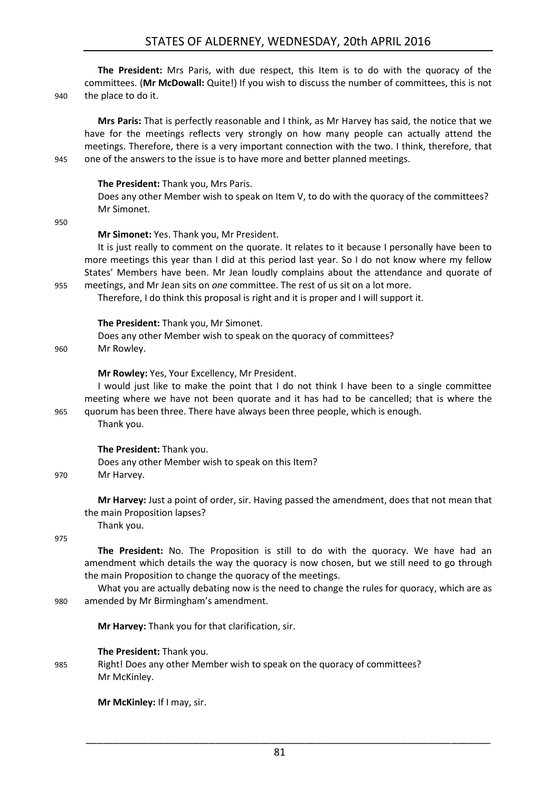### STATES OF ALDERNEY, WEDNESDAY, 20th APRIL 2016

| 940 | The President: Mrs Paris, with due respect, this Item is to do with the quoracy of the<br>committees. (Mr McDowall: Quite!) If you wish to discuss the number of committees, this is not<br>the place to do it.                                                                                                                                                                                                                                                                                                    |
|-----|--------------------------------------------------------------------------------------------------------------------------------------------------------------------------------------------------------------------------------------------------------------------------------------------------------------------------------------------------------------------------------------------------------------------------------------------------------------------------------------------------------------------|
| 945 | Mrs Paris: That is perfectly reasonable and I think, as Mr Harvey has said, the notice that we<br>have for the meetings reflects very strongly on how many people can actually attend the<br>meetings. Therefore, there is a very important connection with the two. I think, therefore, that<br>one of the answers to the issue is to have more and better planned meetings.                                                                                                                                      |
| 950 | The President: Thank you, Mrs Paris.<br>Does any other Member wish to speak on Item V, to do with the quoracy of the committees?<br>Mr Simonet.                                                                                                                                                                                                                                                                                                                                                                    |
| 955 | Mr Simonet: Yes. Thank you, Mr President.<br>It is just really to comment on the quorate. It relates to it because I personally have been to<br>more meetings this year than I did at this period last year. So I do not know where my fellow<br>States' Members have been. Mr Jean loudly complains about the attendance and quorate of<br>meetings, and Mr Jean sits on one committee. The rest of us sit on a lot more.<br>Therefore, I do think this proposal is right and it is proper and I will support it. |
| 960 | The President: Thank you, Mr Simonet.<br>Does any other Member wish to speak on the quoracy of committees?<br>Mr Rowley.                                                                                                                                                                                                                                                                                                                                                                                           |
| 965 | Mr Rowley: Yes, Your Excellency, Mr President.<br>I would just like to make the point that I do not think I have been to a single committee<br>meeting where we have not been quorate and it has had to be cancelled; that is where the<br>quorum has been three. There have always been three people, which is enough.<br>Thank you.                                                                                                                                                                              |
| 970 | The President: Thank you.<br>Does any other Member wish to speak on this Item?<br>Mr Harvey.                                                                                                                                                                                                                                                                                                                                                                                                                       |
|     | Mr Harvey: Just a point of order, sir. Having passed the amendment, does that not mean that<br>the main Proposition lapses?<br>Thank you.                                                                                                                                                                                                                                                                                                                                                                          |
| 975 | The President: No. The Proposition is still to do with the quoracy. We have had an<br>amendment which details the way the quoracy is now chosen, but we still need to go through<br>the main Proposition to change the quoracy of the meetings.<br>What you are actually debating now is the need to change the rules for quoracy, which are as                                                                                                                                                                    |

980 amended by Mr Birmingham's amendment.

**Mr Harvey:** Thank you for that clarification, sir.

**The President:** Thank you.

985 Right! Does any other Member wish to speak on the quoracy of committees? Mr McKinley.

**Mr McKinley:** If I may, sir.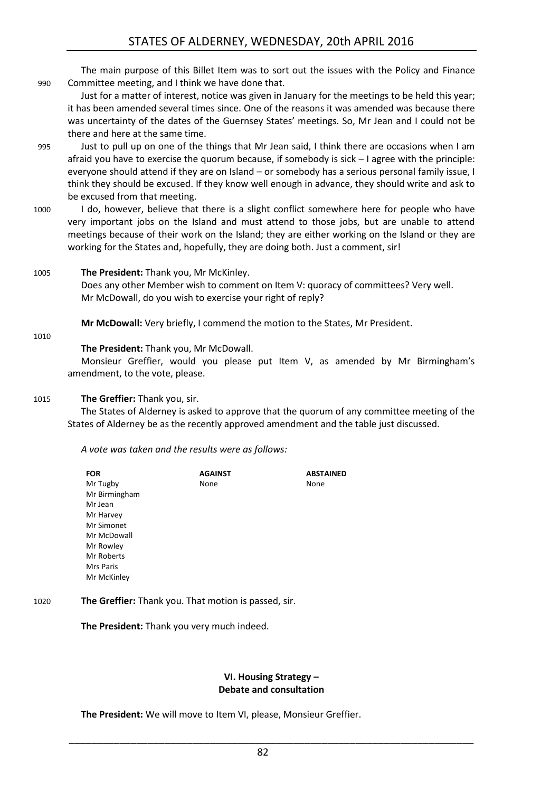The main purpose of this Billet Item was to sort out the issues with the Policy and Finance 990 Committee meeting, and I think we have done that.

Just for a matter of interest, notice was given in January for the meetings to be held this year; it has been amended several times since. One of the reasons it was amended was because there was uncertainty of the dates of the Guernsey States' meetings. So, Mr Jean and I could not be there and here at the same time.

- 995 Just to pull up on one of the things that Mr Jean said, I think there are occasions when I am afraid you have to exercise the quorum because, if somebody is sick – I agree with the principle: everyone should attend if they are on Island – or somebody has a serious personal family issue, I think they should be excused. If they know well enough in advance, they should write and ask to be excused from that meeting.
- 1000 I do, however, believe that there is a slight conflict somewhere here for people who have very important jobs on the Island and must attend to those jobs, but are unable to attend meetings because of their work on the Island; they are either working on the Island or they are working for the States and, hopefully, they are doing both. Just a comment, sir!
- 1005 **The President:** Thank you, Mr McKinley.

Does any other Member wish to comment on Item V: quoracy of committees? Very well. Mr McDowall, do you wish to exercise your right of reply?

**Mr McDowall:** Very briefly, I commend the motion to the States, Mr President.

1010

**The President:** Thank you, Mr McDowall.

Monsieur Greffier, would you please put Item V, as amended by Mr Birmingham's amendment, to the vote, please.

#### 1015 **The Greffier:** Thank you, sir.

The States of Alderney is asked to approve that the quorum of any committee meeting of the States of Alderney be as the recently approved amendment and the table just discussed.

*A vote was taken and the results were as follows:*

| <b>FOR</b>    | <b>AGAINST</b> | <b>ABSTAINED</b> |
|---------------|----------------|------------------|
| Mr Tugby      | None           | None             |
| Mr Birmingham |                |                  |
| Mr Jean       |                |                  |
| Mr Harvey     |                |                  |
| Mr Simonet    |                |                  |
| Mr McDowall   |                |                  |
| Mr Rowley     |                |                  |
| Mr Roberts    |                |                  |
| Mrs Paris     |                |                  |
| Mr McKinley   |                |                  |
|               |                |                  |

1020 **The Greffier:** Thank you. That motion is passed, sir.

**The President:** Thank you very much indeed.

#### **VI. Housing Strategy – Debate and consultation**

<span id="page-25-0"></span>**The President:** We will move to Item VI, please, Monsieur Greffier.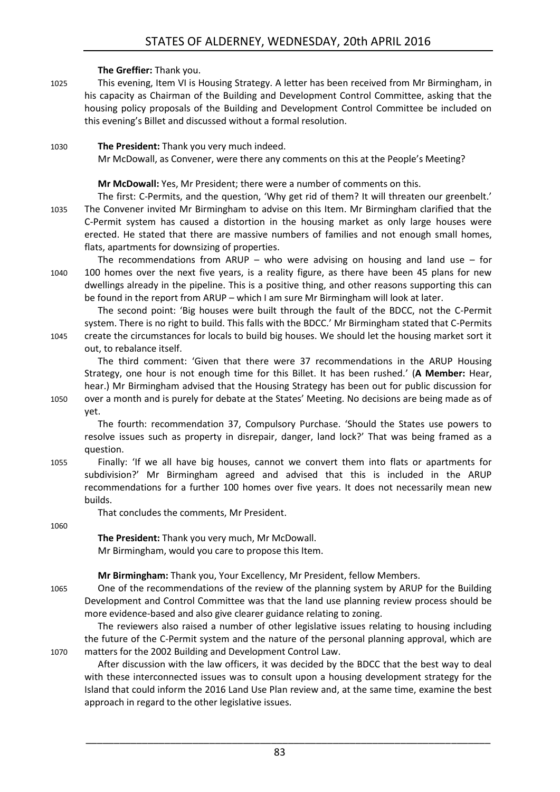#### **The Greffier:** Thank you.

1025 This evening, Item VI is Housing Strategy. A letter has been received from Mr Birmingham, in his capacity as Chairman of the Building and Development Control Committee, asking that the housing policy proposals of the Building and Development Control Committee be included on this evening's Billet and discussed without a formal resolution.

1030 **The President:** Thank you very much indeed. Mr McDowall, as Convener, were there any comments on this at the People's Meeting?

**Mr McDowall:** Yes, Mr President; there were a number of comments on this.

- The first: C-Permits, and the question, 'Why get rid of them? It will threaten our greenbelt.' 1035 The Convener invited Mr Birmingham to advise on this Item. Mr Birmingham clarified that the C-Permit system has caused a distortion in the housing market as only large houses were erected. He stated that there are massive numbers of families and not enough small homes, flats, apartments for downsizing of properties.
- The recommendations from ARUP who were advising on housing and land use for 1040 100 homes over the next five years, is a reality figure, as there have been 45 plans for new dwellings already in the pipeline. This is a positive thing, and other reasons supporting this can be found in the report from ARUP – which I am sure Mr Birmingham will look at later.

The second point: 'Big houses were built through the fault of the BDCC, not the C-Permit system. There is no right to build. This falls with the BDCC.' Mr Birmingham stated that C-Permits 1045 create the circumstances for locals to build big houses. We should let the housing market sort it out, to rebalance itself.

The third comment: 'Given that there were 37 recommendations in the ARUP Housing Strategy, one hour is not enough time for this Billet. It has been rushed.' (**A Member:** Hear, hear.) Mr Birmingham advised that the Housing Strategy has been out for public discussion for 1050 over a month and is purely for debate at the States' Meeting. No decisions are being made as of yet.

The fourth: recommendation 37, Compulsory Purchase. 'Should the States use powers to resolve issues such as property in disrepair, danger, land lock?' That was being framed as a question.

1055 Finally: 'If we all have big houses, cannot we convert them into flats or apartments for subdivision?' Mr Birmingham agreed and advised that this is included in the ARUP recommendations for a further 100 homes over five years. It does not necessarily mean new builds.

That concludes the comments, Mr President.

1060

**The President:** Thank you very much, Mr McDowall.

Mr Birmingham, would you care to propose this Item.

#### **Mr Birmingham:** Thank you, Your Excellency, Mr President, fellow Members.

1065 One of the recommendations of the review of the planning system by ARUP for the Building Development and Control Committee was that the land use planning review process should be more evidence-based and also give clearer guidance relating to zoning.

The reviewers also raised a number of other legislative issues relating to housing including the future of the C-Permit system and the nature of the personal planning approval, which are 1070 matters for the 2002 Building and Development Control Law.

After discussion with the law officers, it was decided by the BDCC that the best way to deal with these interconnected issues was to consult upon a housing development strategy for the Island that could inform the 2016 Land Use Plan review and, at the same time, examine the best approach in regard to the other legislative issues.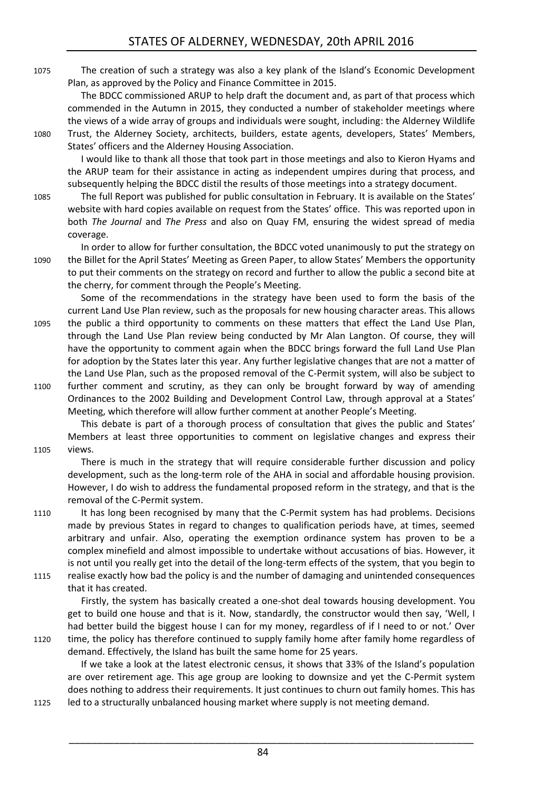1075 The creation of such a strategy was also a key plank of the Island's Economic Development Plan, as approved by the Policy and Finance Committee in 2015.

The BDCC commissioned ARUP to help draft the document and, as part of that process which commended in the Autumn in 2015, they conducted a number of stakeholder meetings where the views of a wide array of groups and individuals were sought, including: the Alderney Wildlife

1080 Trust, the Alderney Society, architects, builders, estate agents, developers, States' Members, States' officers and the Alderney Housing Association.

I would like to thank all those that took part in those meetings and also to Kieron Hyams and the ARUP team for their assistance in acting as independent umpires during that process, and subsequently helping the BDCC distil the results of those meetings into a strategy document.

1085 The full Report was published for public consultation in February. It is available on the States' website with hard copies available on request from the States' office. This was reported upon in both *The Journal* and *The Press* and also on Quay FM, ensuring the widest spread of media coverage.

In order to allow for further consultation, the BDCC voted unanimously to put the strategy on 1090 the Billet for the April States' Meeting as Green Paper, to allow States' Members the opportunity to put their comments on the strategy on record and further to allow the public a second bite at the cherry, for comment through the People's Meeting.

Some of the recommendations in the strategy have been used to form the basis of the current Land Use Plan review, such as the proposals for new housing character areas. This allows 1095 the public a third opportunity to comments on these matters that effect the Land Use Plan, through the Land Use Plan review being conducted by Mr Alan Langton. Of course, they will have the opportunity to comment again when the BDCC brings forward the full Land Use Plan for adoption by the States later this year. Any further legislative changes that are not a matter of the Land Use Plan, such as the proposed removal of the C-Permit system, will also be subject to

1100 further comment and scrutiny, as they can only be brought forward by way of amending Ordinances to the 2002 Building and Development Control Law, through approval at a States' Meeting, which therefore will allow further comment at another People's Meeting.

This debate is part of a thorough process of consultation that gives the public and States' Members at least three opportunities to comment on legislative changes and express their 1105 views.

There is much in the strategy that will require considerable further discussion and policy development, such as the long-term role of the AHA in social and affordable housing provision. However, I do wish to address the fundamental proposed reform in the strategy, and that is the removal of the C-Permit system.

1110 It has long been recognised by many that the C-Permit system has had problems. Decisions made by previous States in regard to changes to qualification periods have, at times, seemed arbitrary and unfair. Also, operating the exemption ordinance system has proven to be a complex minefield and almost impossible to undertake without accusations of bias. However, it is not until you really get into the detail of the long-term effects of the system, that you begin to

1115 realise exactly how bad the policy is and the number of damaging and unintended consequences that it has created.

Firstly, the system has basically created a one-shot deal towards housing development. You get to build one house and that is it. Now, standardly, the constructor would then say, 'Well, I had better build the biggest house I can for my money, regardless of if I need to or not.' Over

1120 time, the policy has therefore continued to supply family home after family home regardless of demand. Effectively, the Island has built the same home for 25 years.

If we take a look at the latest electronic census, it shows that 33% of the Island's population are over retirement age. This age group are looking to downsize and yet the C-Permit system does nothing to address their requirements. It just continues to churn out family homes. This has 1125 led to a structurally unbalanced housing market where supply is not meeting demand.

84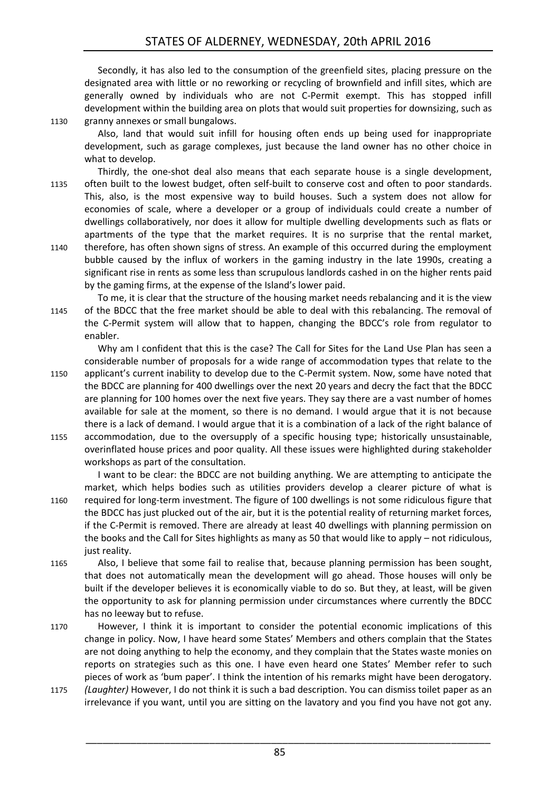Secondly, it has also led to the consumption of the greenfield sites, placing pressure on the designated area with little or no reworking or recycling of brownfield and infill sites, which are generally owned by individuals who are not C-Permit exempt. This has stopped infill development within the building area on plots that would suit properties for downsizing, such as 1130 granny annexes or small bungalows.

Also, land that would suit infill for housing often ends up being used for inappropriate development, such as garage complexes, just because the land owner has no other choice in what to develop.

Thirdly, the one-shot deal also means that each separate house is a single development, 1135 often built to the lowest budget, often self-built to conserve cost and often to poor standards. This, also, is the most expensive way to build houses. Such a system does not allow for economies of scale, where a developer or a group of individuals could create a number of dwellings collaboratively, nor does it allow for multiple dwelling developments such as flats or apartments of the type that the market requires. It is no surprise that the rental market, 1140 therefore, has often shown signs of stress. An example of this occurred during the employment bubble caused by the influx of workers in the gaming industry in the late 1990s, creating a significant rise in rents as some less than scrupulous landlords cashed in on the higher rents paid by the gaming firms, at the expense of the Island's lower paid.

To me, it is clear that the structure of the housing market needs rebalancing and it is the view 1145 of the BDCC that the free market should be able to deal with this rebalancing. The removal of the C-Permit system will allow that to happen, changing the BDCC's role from regulator to enabler.

Why am I confident that this is the case? The Call for Sites for the Land Use Plan has seen a considerable number of proposals for a wide range of accommodation types that relate to the

- 1150 applicant's current inability to develop due to the C-Permit system. Now, some have noted that the BDCC are planning for 400 dwellings over the next 20 years and decry the fact that the BDCC are planning for 100 homes over the next five years. They say there are a vast number of homes available for sale at the moment, so there is no demand. I would argue that it is not because there is a lack of demand. I would argue that it is a combination of a lack of the right balance of
- 1155 accommodation, due to the oversupply of a specific housing type; historically unsustainable, overinflated house prices and poor quality. All these issues were highlighted during stakeholder workshops as part of the consultation.

I want to be clear: the BDCC are not building anything. We are attempting to anticipate the market, which helps bodies such as utilities providers develop a clearer picture of what is 1160 required for long-term investment. The figure of 100 dwellings is not some ridiculous figure that the BDCC has just plucked out of the air, but it is the potential reality of returning market forces, if the C-Permit is removed. There are already at least 40 dwellings with planning permission on the books and the Call for Sites highlights as many as 50 that would like to apply – not ridiculous, just reality.

- 1165 Also, I believe that some fail to realise that, because planning permission has been sought, that does not automatically mean the development will go ahead. Those houses will only be built if the developer believes it is economically viable to do so. But they, at least, will be given the opportunity to ask for planning permission under circumstances where currently the BDCC has no leeway but to refuse.
- 1170 However, I think it is important to consider the potential economic implications of this change in policy. Now, I have heard some States' Members and others complain that the States are not doing anything to help the economy, and they complain that the States waste monies on reports on strategies such as this one. I have even heard one States' Member refer to such pieces of work as 'bum paper'. I think the intention of his remarks might have been derogatory.
- 1175 *(Laughter)* However, I do not think it is such a bad description. You can dismiss toilet paper as an irrelevance if you want, until you are sitting on the lavatory and you find you have not got any.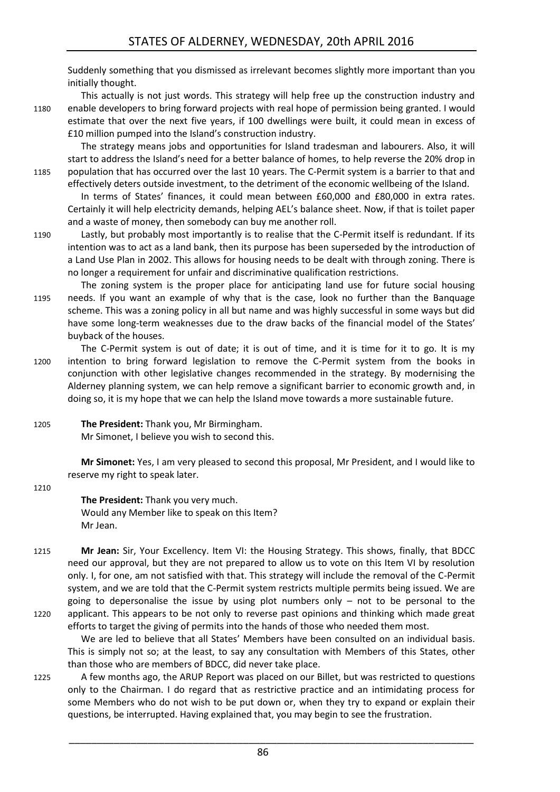Suddenly something that you dismissed as irrelevant becomes slightly more important than you initially thought.

This actually is not just words. This strategy will help free up the construction industry and 1180 enable developers to bring forward projects with real hope of permission being granted. I would estimate that over the next five years, if 100 dwellings were built, it could mean in excess of £10 million pumped into the Island's construction industry.

The strategy means jobs and opportunities for Island tradesman and labourers. Also, it will start to address the Island's need for a better balance of homes, to help reverse the 20% drop in 1185 population that has occurred over the last 10 years. The C-Permit system is a barrier to that and effectively deters outside investment, to the detriment of the economic wellbeing of the Island.

In terms of States' finances, it could mean between £60,000 and £80,000 in extra rates. Certainly it will help electricity demands, helping AEL's balance sheet. Now, if that is toilet paper and a waste of money, then somebody can buy me another roll.

- 1190 Lastly, but probably most importantly is to realise that the C-Permit itself is redundant. If its intention was to act as a land bank, then its purpose has been superseded by the introduction of a Land Use Plan in 2002. This allows for housing needs to be dealt with through zoning. There is no longer a requirement for unfair and discriminative qualification restrictions.
- The zoning system is the proper place for anticipating land use for future social housing 1195 needs. If you want an example of why that is the case, look no further than the Banquage scheme. This was a zoning policy in all but name and was highly successful in some ways but did have some long-term weaknesses due to the draw backs of the financial model of the States' buyback of the houses.
- The C-Permit system is out of date; it is out of time, and it is time for it to go. It is my 1200 intention to bring forward legislation to remove the C-Permit system from the books in conjunction with other legislative changes recommended in the strategy. By modernising the Alderney planning system, we can help remove a significant barrier to economic growth and, in doing so, it is my hope that we can help the Island move towards a more sustainable future.
- 1205 **The President:** Thank you, Mr Birmingham. Mr Simonet, I believe you wish to second this.

**Mr Simonet:** Yes, I am very pleased to second this proposal, Mr President, and I would like to reserve my right to speak later.

1210

#### **The President:** Thank you very much. Would any Member like to speak on this Item? Mr Jean.

1215 **Mr Jean:** Sir, Your Excellency. Item VI: the Housing Strategy. This shows, finally, that BDCC need our approval, but they are not prepared to allow us to vote on this Item VI by resolution only. I, for one, am not satisfied with that. This strategy will include the removal of the C-Permit system, and we are told that the C-Permit system restricts multiple permits being issued. We are going to depersonalise the issue by using plot numbers only  $-$  not to be personal to the 1220 applicant. This appears to be not only to reverse past opinions and thinking which made great efforts to target the giving of permits into the hands of those who needed them most.

We are led to believe that all States' Members have been consulted on an individual basis. This is simply not so; at the least, to say any consultation with Members of this States, other than those who are members of BDCC, did never take place.

1225 A few months ago, the ARUP Report was placed on our Billet, but was restricted to questions only to the Chairman. I do regard that as restrictive practice and an intimidating process for some Members who do not wish to be put down or, when they try to expand or explain their questions, be interrupted. Having explained that, you may begin to see the frustration.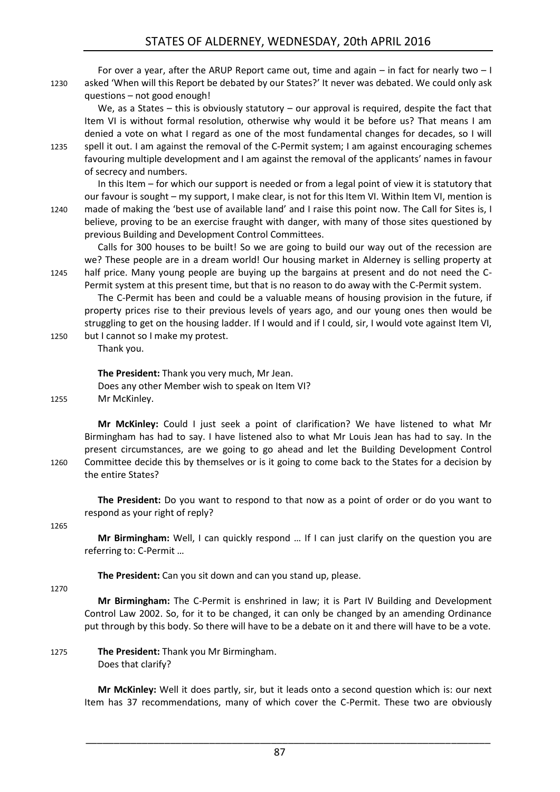For over a year, after the ARUP Report came out, time and again  $-$  in fact for nearly two  $-1$ 1230 asked 'When will this Report be debated by our States?' It never was debated. We could only ask questions – not good enough!

We, as a States – this is obviously statutory – our approval is required, despite the fact that Item VI is without formal resolution, otherwise why would it be before us? That means I am denied a vote on what I regard as one of the most fundamental changes for decades, so I will 1235 spell it out. I am against the removal of the C-Permit system; I am against encouraging schemes favouring multiple development and I am against the removal of the applicants' names in favour of secrecy and numbers.

In this Item – for which our support is needed or from a legal point of view it is statutory that our favour is sought – my support, I make clear, is not for this Item VI. Within Item VI, mention is 1240 made of making the 'best use of available land' and I raise this point now. The Call for Sites is, I believe, proving to be an exercise fraught with danger, with many of those sites questioned by previous Building and Development Control Committees.

Calls for 300 houses to be built! So we are going to build our way out of the recession are we? These people are in a dream world! Our housing market in Alderney is selling property at 1245 half price. Many young people are buying up the bargains at present and do not need the C-Permit system at this present time, but that is no reason to do away with the C-Permit system.

The C-Permit has been and could be a valuable means of housing provision in the future, if property prices rise to their previous levels of years ago, and our young ones then would be struggling to get on the housing ladder. If I would and if I could, sir, I would vote against Item VI, 1250 but I cannot so I make my protest.

Thank you.

#### **The President:** Thank you very much, Mr Jean.

Does any other Member wish to speak on Item VI? 1255 Mr McKinley.

**Mr McKinley:** Could I just seek a point of clarification? We have listened to what Mr Birmingham has had to say. I have listened also to what Mr Louis Jean has had to say. In the present circumstances, are we going to go ahead and let the Building Development Control 1260 Committee decide this by themselves or is it going to come back to the States for a decision by the entire States?

**The President:** Do you want to respond to that now as a point of order or do you want to respond as your right of reply?

1265

**Mr Birmingham:** Well, I can quickly respond … If I can just clarify on the question you are referring to: C-Permit …

**The President:** Can you sit down and can you stand up, please.

1270

**Mr Birmingham:** The C-Permit is enshrined in law; it is Part IV Building and Development Control Law 2002. So, for it to be changed, it can only be changed by an amending Ordinance put through by this body. So there will have to be a debate on it and there will have to be a vote.

1275 **The President:** Thank you Mr Birmingham. Does that clarify?

> **Mr McKinley:** Well it does partly, sir, but it leads onto a second question which is: our next Item has 37 recommendations, many of which cover the C-Permit. These two are obviously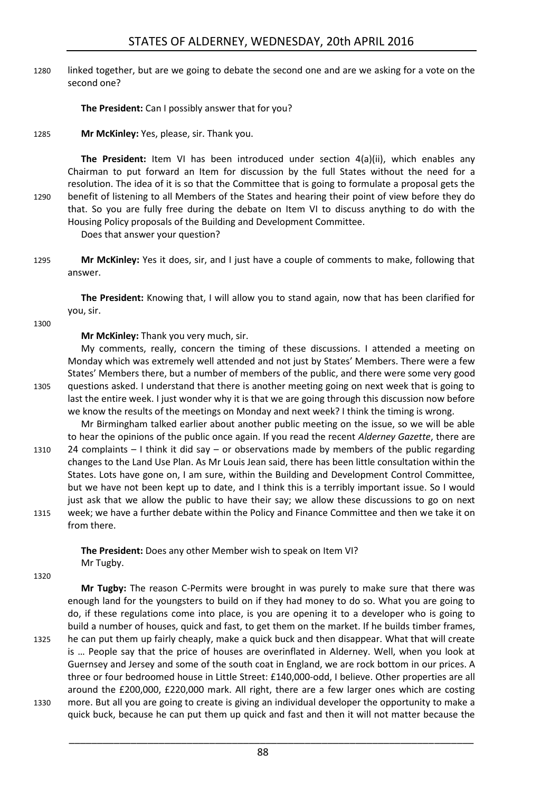1280 linked together, but are we going to debate the second one and are we asking for a vote on the second one?

**The President:** Can I possibly answer that for you?

1285 **Mr McKinley:** Yes, please, sir. Thank you.

**The President:** Item VI has been introduced under section 4(a)(ii), which enables any Chairman to put forward an Item for discussion by the full States without the need for a resolution. The idea of it is so that the Committee that is going to formulate a proposal gets the 1290 benefit of listening to all Members of the States and hearing their point of view before they do that. So you are fully free during the debate on Item VI to discuss anything to do with the Housing Policy proposals of the Building and Development Committee. Does that answer your question?

1295 **Mr McKinley:** Yes it does, sir, and I just have a couple of comments to make, following that answer.

**The President:** Knowing that, I will allow you to stand again, now that has been clarified for you, sir.

1300

**Mr McKinley:** Thank you very much, sir.

My comments, really, concern the timing of these discussions. I attended a meeting on Monday which was extremely well attended and not just by States' Members. There were a few States' Members there, but a number of members of the public, and there were some very good 1305 questions asked. I understand that there is another meeting going on next week that is going to last the entire week. I just wonder why it is that we are going through this discussion now before we know the results of the meetings on Monday and next week? I think the timing is wrong.

Mr Birmingham talked earlier about another public meeting on the issue, so we will be able to hear the opinions of the public once again. If you read the recent *Alderney Gazette*, there are 1310 24 complaints – I think it did say – or observations made by members of the public regarding changes to the Land Use Plan. As Mr Louis Jean said, there has been little consultation within the States. Lots have gone on, I am sure, within the Building and Development Control Committee, but we have not been kept up to date, and I think this is a terribly important issue. So I would just ask that we allow the public to have their say; we allow these discussions to go on next 1315 week; we have a further debate within the Policy and Finance Committee and then we take it on from there.

> **The President:** Does any other Member wish to speak on Item VI? Mr Tugby.

1320

**Mr Tugby:** The reason C-Permits were brought in was purely to make sure that there was enough land for the youngsters to build on if they had money to do so. What you are going to do, if these regulations come into place, is you are opening it to a developer who is going to build a number of houses, quick and fast, to get them on the market. If he builds timber frames, 1325 he can put them up fairly cheaply, make a quick buck and then disappear. What that will create is … People say that the price of houses are overinflated in Alderney. Well, when you look at Guernsey and Jersey and some of the south coat in England, we are rock bottom in our prices. A three or four bedroomed house in Little Street: £140,000-odd, I believe. Other properties are all

around the £200,000, £220,000 mark. All right, there are a few larger ones which are costing 1330 more. But all you are going to create is giving an individual developer the opportunity to make a quick buck, because he can put them up quick and fast and then it will not matter because the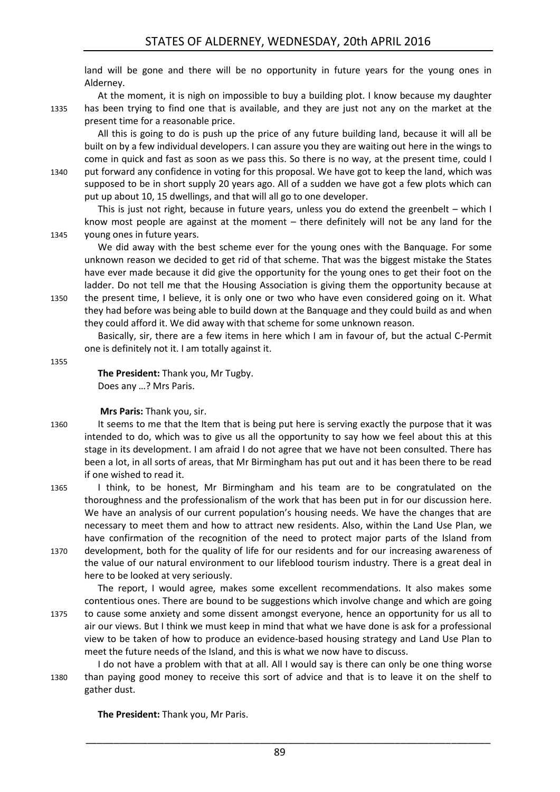land will be gone and there will be no opportunity in future years for the young ones in Alderney.

At the moment, it is nigh on impossible to buy a building plot. I know because my daughter 1335 has been trying to find one that is available, and they are just not any on the market at the present time for a reasonable price.

All this is going to do is push up the price of any future building land, because it will all be built on by a few individual developers. I can assure you they are waiting out here in the wings to come in quick and fast as soon as we pass this. So there is no way, at the present time, could I

1340 put forward any confidence in voting for this proposal. We have got to keep the land, which was supposed to be in short supply 20 years ago. All of a sudden we have got a few plots which can put up about 10, 15 dwellings, and that will all go to one developer.

This is just not right, because in future years, unless you do extend the greenbelt – which I know most people are against at the moment – there definitely will not be any land for the 1345 young ones in future years.

We did away with the best scheme ever for the young ones with the Banquage. For some unknown reason we decided to get rid of that scheme. That was the biggest mistake the States have ever made because it did give the opportunity for the young ones to get their foot on the ladder. Do not tell me that the Housing Association is giving them the opportunity because at 1350 the present time, I believe, it is only one or two who have even considered going on it. What they had before was being able to build down at the Banquage and they could build as and when

they could afford it. We did away with that scheme for some unknown reason.

Basically, sir, there are a few items in here which I am in favour of, but the actual C-Permit one is definitely not it. I am totally against it.

1355

### **The President:** Thank you, Mr Tugby.

Does any …? Mrs Paris.

#### **Mrs Paris:** Thank you, sir.

- 1360 It seems to me that the Item that is being put here is serving exactly the purpose that it was intended to do, which was to give us all the opportunity to say how we feel about this at this stage in its development. I am afraid I do not agree that we have not been consulted. There has been a lot, in all sorts of areas, that Mr Birmingham has put out and it has been there to be read if one wished to read it.
- 1365 I think, to be honest, Mr Birmingham and his team are to be congratulated on the thoroughness and the professionalism of the work that has been put in for our discussion here. We have an analysis of our current population's housing needs. We have the changes that are necessary to meet them and how to attract new residents. Also, within the Land Use Plan, we have confirmation of the recognition of the need to protect major parts of the Island from 1370 development, both for the quality of life for our residents and for our increasing awareness of
	- the value of our natural environment to our lifeblood tourism industry. There is a great deal in here to be looked at very seriously.

The report, I would agree, makes some excellent recommendations. It also makes some contentious ones. There are bound to be suggestions which involve change and which are going

1375 to cause some anxiety and some dissent amongst everyone, hence an opportunity for us all to air our views. But I think we must keep in mind that what we have done is ask for a professional view to be taken of how to produce an evidence-based housing strategy and Land Use Plan to meet the future needs of the Island, and this is what we now have to discuss.

I do not have a problem with that at all. All I would say is there can only be one thing worse 1380 than paying good money to receive this sort of advice and that is to leave it on the shelf to gather dust.

**The President:** Thank you, Mr Paris.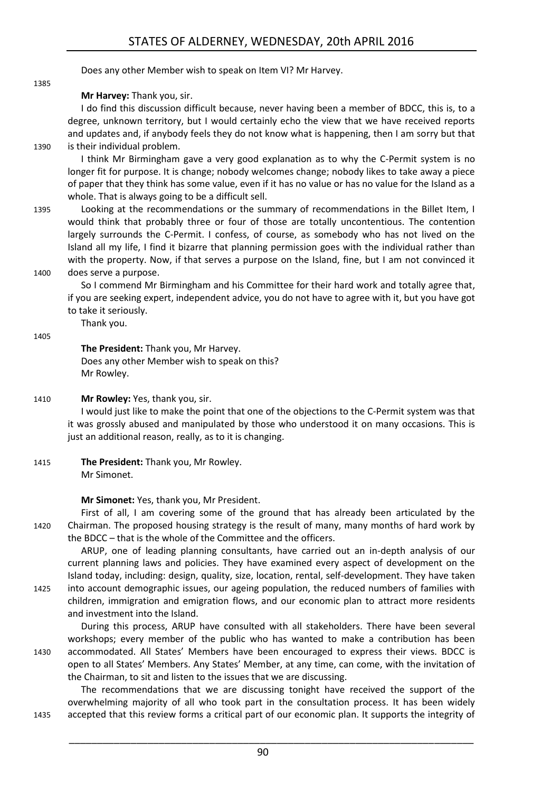Does any other Member wish to speak on Item VI? Mr Harvey.

**Mr Harvey:** Thank you, sir.

I do find this discussion difficult because, never having been a member of BDCC, this is, to a degree, unknown territory, but I would certainly echo the view that we have received reports and updates and, if anybody feels they do not know what is happening, then I am sorry but that 1390 is their individual problem.

I think Mr Birmingham gave a very good explanation as to why the C-Permit system is no longer fit for purpose. It is change; nobody welcomes change; nobody likes to take away a piece of paper that they think has some value, even if it has no value or has no value for the Island as a whole. That is always going to be a difficult sell.

1395 Looking at the recommendations or the summary of recommendations in the Billet Item, I would think that probably three or four of those are totally uncontentious. The contention largely surrounds the C-Permit. I confess, of course, as somebody who has not lived on the Island all my life, I find it bizarre that planning permission goes with the individual rather than with the property. Now, if that serves a purpose on the Island, fine, but I am not convinced it 1400 does serve a purpose.

So I commend Mr Birmingham and his Committee for their hard work and totally agree that, if you are seeking expert, independent advice, you do not have to agree with it, but you have got to take it seriously.

Thank you.

1405

1385

**The President:** Thank you, Mr Harvey. Does any other Member wish to speak on this? Mr Rowley.

1410 **Mr Rowley:** Yes, thank you, sir.

I would just like to make the point that one of the objections to the C-Permit system was that it was grossly abused and manipulated by those who understood it on many occasions. This is just an additional reason, really, as to it is changing.

1415 **The President:** Thank you, Mr Rowley. Mr Simonet.

**Mr Simonet:** Yes, thank you, Mr President.

First of all, I am covering some of the ground that has already been articulated by the 1420 Chairman. The proposed housing strategy is the result of many, many months of hard work by the BDCC – that is the whole of the Committee and the officers.

ARUP, one of leading planning consultants, have carried out an in-depth analysis of our current planning laws and policies. They have examined every aspect of development on the Island today, including: design, quality, size, location, rental, self-development. They have taken

1425 into account demographic issues, our ageing population, the reduced numbers of families with children, immigration and emigration flows, and our economic plan to attract more residents and investment into the Island.

During this process, ARUP have consulted with all stakeholders. There have been several workshops; every member of the public who has wanted to make a contribution has been 1430 accommodated. All States' Members have been encouraged to express their views. BDCC is open to all States' Members. Any States' Member, at any time, can come, with the invitation of the Chairman, to sit and listen to the issues that we are discussing.

The recommendations that we are discussing tonight have received the support of the overwhelming majority of all who took part in the consultation process. It has been widely 1435 accepted that this review forms a critical part of our economic plan. It supports the integrity of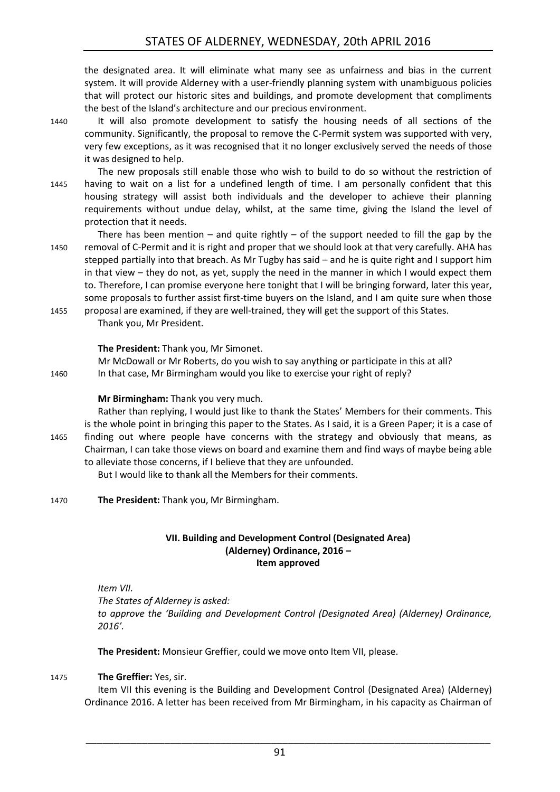the designated area. It will eliminate what many see as unfairness and bias in the current system. It will provide Alderney with a user-friendly planning system with unambiguous policies that will protect our historic sites and buildings, and promote development that compliments the best of the Island's architecture and our precious environment.

1440 It will also promote development to satisfy the housing needs of all sections of the community. Significantly, the proposal to remove the C-Permit system was supported with very, very few exceptions, as it was recognised that it no longer exclusively served the needs of those it was designed to help.

The new proposals still enable those who wish to build to do so without the restriction of 1445 having to wait on a list for a undefined length of time. I am personally confident that this housing strategy will assist both individuals and the developer to achieve their planning requirements without undue delay, whilst, at the same time, giving the Island the level of protection that it needs.

There has been mention – and quite rightly – of the support needed to fill the gap by the 1450 removal of C-Permit and it is right and proper that we should look at that very carefully. AHA has stepped partially into that breach. As Mr Tugby has said – and he is quite right and I support him in that view – they do not, as yet, supply the need in the manner in which I would expect them to. Therefore, I can promise everyone here tonight that I will be bringing forward, later this year, some proposals to further assist first-time buyers on the Island, and I am quite sure when those

1455 proposal are examined, if they are well-trained, they will get the support of this States. Thank you, Mr President.

#### **The President:** Thank you, Mr Simonet.

Mr McDowall or Mr Roberts, do you wish to say anything or participate in this at all? 1460 In that case, Mr Birmingham would you like to exercise your right of reply?

#### **Mr Birmingham:** Thank you very much.

Rather than replying, I would just like to thank the States' Members for their comments. This is the whole point in bringing this paper to the States. As I said, it is a Green Paper; it is a case of 1465 finding out where people have concerns with the strategy and obviously that means, as Chairman, I can take those views on board and examine them and find ways of maybe being able to alleviate those concerns, if I believe that they are unfounded.

But I would like to thank all the Members for their comments.

<span id="page-34-0"></span>1470 **The President:** Thank you, Mr Birmingham.

#### **VII. Building and Development Control (Designated Area) (Alderney) Ordinance, 2016 – Item approved**

#### *Item VII.*

*The States of Alderney is asked:*

*to approve the 'Building and Development Control (Designated Area) (Alderney) Ordinance, 2016'.* 

**The President:** Monsieur Greffier, could we move onto Item VII, please.

#### 1475 **The Greffier:** Yes, sir.

Item VII this evening is the Building and Development Control (Designated Area) (Alderney) Ordinance 2016. A letter has been received from Mr Birmingham, in his capacity as Chairman of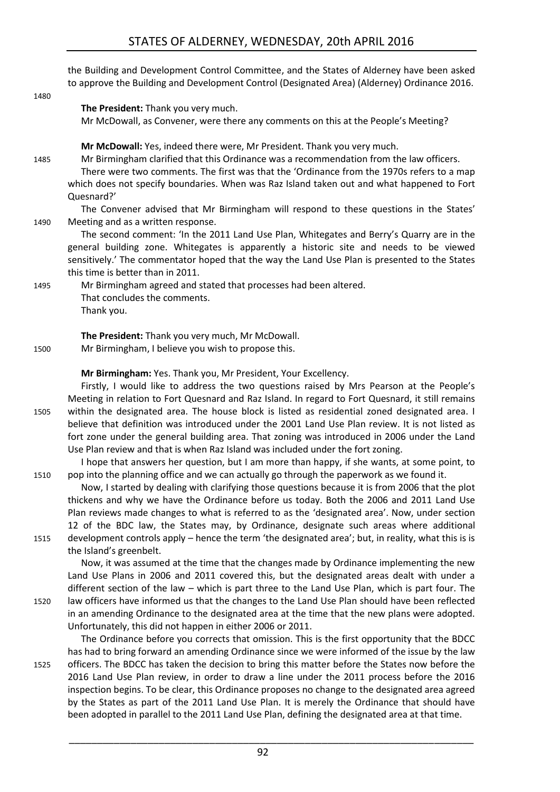the Building and Development Control Committee, and the States of Alderney have been asked to approve the Building and Development Control (Designated Area) (Alderney) Ordinance 2016.

1480

#### **The President:** Thank you very much.

Mr McDowall, as Convener, were there any comments on this at the People's Meeting?

**Mr McDowall:** Yes, indeed there were, Mr President. Thank you very much.

1485 Mr Birmingham clarified that this Ordinance was a recommendation from the law officers.

There were two comments. The first was that the 'Ordinance from the 1970s refers to a map which does not specify boundaries. When was Raz Island taken out and what happened to Fort Quesnard?'

The Convener advised that Mr Birmingham will respond to these questions in the States' 1490 Meeting and as a written response.

The second comment: 'In the 2011 Land Use Plan, Whitegates and Berry's Quarry are in the general building zone. Whitegates is apparently a historic site and needs to be viewed sensitively.' The commentator hoped that the way the Land Use Plan is presented to the States this time is better than in 2011.

1495 Mr Birmingham agreed and stated that processes had been altered. That concludes the comments. Thank you.

**The President:** Thank you very much, Mr McDowall.

1500 Mr Birmingham, I believe you wish to propose this.

**Mr Birmingham:** Yes. Thank you, Mr President, Your Excellency.

Firstly, I would like to address the two questions raised by Mrs Pearson at the People's Meeting in relation to Fort Quesnard and Raz Island. In regard to Fort Quesnard, it still remains 1505 within the designated area. The house block is listed as residential zoned designated area. I believe that definition was introduced under the 2001 Land Use Plan review. It is not listed as fort zone under the general building area. That zoning was introduced in 2006 under the Land Use Plan review and that is when Raz Island was included under the fort zoning.

I hope that answers her question, but I am more than happy, if she wants, at some point, to 1510 pop into the planning office and we can actually go through the paperwork as we found it.

Now, I started by dealing with clarifying those questions because it is from 2006 that the plot thickens and why we have the Ordinance before us today. Both the 2006 and 2011 Land Use Plan reviews made changes to what is referred to as the 'designated area'. Now, under section 12 of the BDC law, the States may, by Ordinance, designate such areas where additional 1515 development controls apply – hence the term 'the designated area'; but, in reality, what this is is the Island's greenbelt.

Now, it was assumed at the time that the changes made by Ordinance implementing the new Land Use Plans in 2006 and 2011 covered this, but the designated areas dealt with under a different section of the law – which is part three to the Land Use Plan, which is part four. The 1520 law officers have informed us that the changes to the Land Use Plan should have been reflected in an amending Ordinance to the designated area at the time that the new plans were adopted. Unfortunately, this did not happen in either 2006 or 2011.

The Ordinance before you corrects that omission. This is the first opportunity that the BDCC has had to bring forward an amending Ordinance since we were informed of the issue by the law 1525 officers. The BDCC has taken the decision to bring this matter before the States now before the 2016 Land Use Plan review, in order to draw a line under the 2011 process before the 2016 inspection begins. To be clear, this Ordinance proposes no change to the designated area agreed by the States as part of the 2011 Land Use Plan. It is merely the Ordinance that should have been adopted in parallel to the 2011 Land Use Plan, defining the designated area at that time.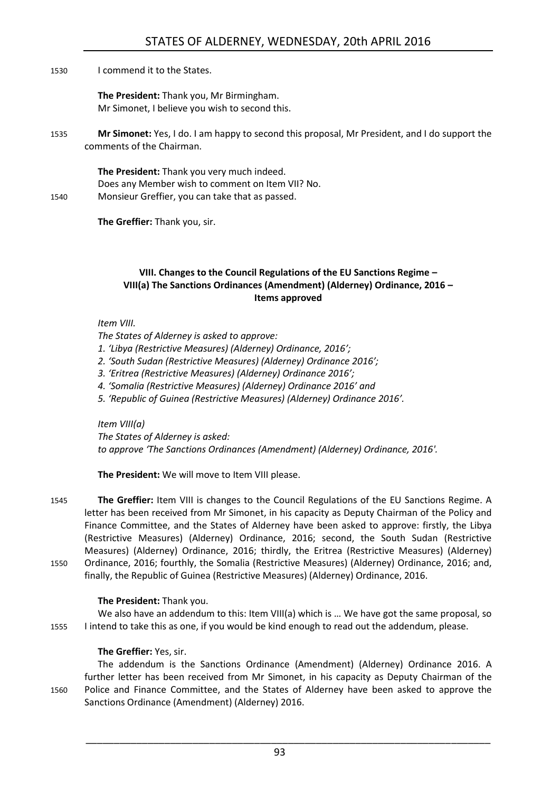#### 1530 I commend it to the States.

**The President:** Thank you, Mr Birmingham. Mr Simonet, I believe you wish to second this.

1535 **Mr Simonet:** Yes, I do. I am happy to second this proposal, Mr President, and I do support the comments of the Chairman.

**The President:** Thank you very much indeed. Does any Member wish to comment on Item VII? No. 1540 Monsieur Greffier, you can take that as passed.

**The Greffier:** Thank you, sir.

#### <span id="page-36-0"></span>**VIII. Changes to the Council Regulations of the EU Sanctions Regime – VIII(a) The Sanctions Ordinances (Amendment) (Alderney) Ordinance, 2016 – Items approved**

#### *Item VIII.*

*The States of Alderney is asked to approve:* 

- *1. 'Libya (Restrictive Measures) (Alderney) Ordinance, 2016';*
- *2. 'South Sudan (Restrictive Measures) (Alderney) Ordinance 2016';*
- *3. 'Eritrea (Restrictive Measures) (Alderney) Ordinance 2016';*
- *4. 'Somalia (Restrictive Measures) (Alderney) Ordinance 2016' and*
- *5. 'Republic of Guinea (Restrictive Measures) (Alderney) Ordinance 2016'.*

#### *Item VIII(a)*

*The States of Alderney is asked:*

*to approve 'The Sanctions Ordinances (Amendment) (Alderney) Ordinance, 2016'.* 

**The President:** We will move to Item VIII please.

1545 **The Greffier:** Item VIII is changes to the Council Regulations of the EU Sanctions Regime. A letter has been received from Mr Simonet, in his capacity as Deputy Chairman of the Policy and Finance Committee, and the States of Alderney have been asked to approve: firstly, the Libya (Restrictive Measures) (Alderney) Ordinance, 2016; second, the South Sudan (Restrictive Measures) (Alderney) Ordinance, 2016; thirdly, the Eritrea (Restrictive Measures) (Alderney) 1550 Ordinance, 2016; fourthly, the Somalia (Restrictive Measures) (Alderney) Ordinance, 2016; and, finally, the Republic of Guinea (Restrictive Measures) (Alderney) Ordinance, 2016.

#### **The President:** Thank you.

We also have an addendum to this: Item VIII(a) which is ... We have got the same proposal, so 1555 I intend to take this as one, if you would be kind enough to read out the addendum, please.

#### **The Greffier:** Yes, sir.

The addendum is the Sanctions Ordinance (Amendment) (Alderney) Ordinance 2016. A further letter has been received from Mr Simonet, in his capacity as Deputy Chairman of the 1560 Police and Finance Committee, and the States of Alderney have been asked to approve the Sanctions Ordinance (Amendment) (Alderney) 2016.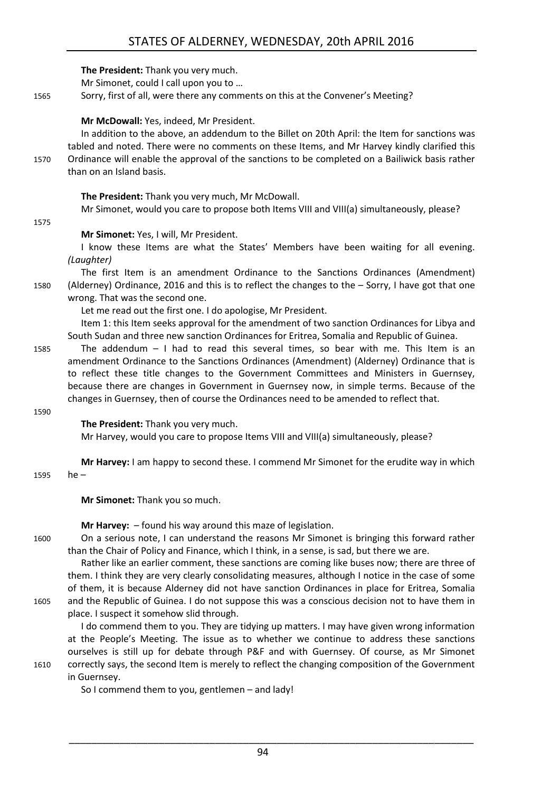**The President:** Thank you very much. Mr Simonet, could I call upon you to … 1565 Sorry, first of all, were there any comments on this at the Convener's Meeting? **Mr McDowall:** Yes, indeed, Mr President. In addition to the above, an addendum to the Billet on 20th April: the Item for sanctions was tabled and noted. There were no comments on these Items, and Mr Harvey kindly clarified this 1570 Ordinance will enable the approval of the sanctions to be completed on a Bailiwick basis rather than on an Island basis. **The President:** Thank you very much, Mr McDowall. Mr Simonet, would you care to propose both Items VIII and VIII(a) simultaneously, please? 1575 **Mr Simonet:** Yes, I will, Mr President. I know these Items are what the States' Members have been waiting for all evening. *(Laughter)*  The first Item is an amendment Ordinance to the Sanctions Ordinances (Amendment) 1580 (Alderney) Ordinance, 2016 and this is to reflect the changes to the – Sorry, I have got that one wrong. That was the second one. Let me read out the first one. I do apologise, Mr President. Item 1: this Item seeks approval for the amendment of two sanction Ordinances for Libya and South Sudan and three new sanction Ordinances for Eritrea, Somalia and Republic of Guinea. 1585 The addendum – I had to read this several times, so bear with me. This Item is an amendment Ordinance to the Sanctions Ordinances (Amendment) (Alderney) Ordinance that is to reflect these title changes to the Government Committees and Ministers in Guernsey, because there are changes in Government in Guernsey now, in simple terms. Because of the changes in Guernsey, then of course the Ordinances need to be amended to reflect that. 1590 **The President:** Thank you very much. Mr Harvey, would you care to propose Items VIII and VIII(a) simultaneously, please? **Mr Harvey:** I am happy to second these. I commend Mr Simonet for the erudite way in which 1595 he – **Mr Simonet:** Thank you so much. **Mr Harvey:**  $-$  found his way around this maze of legislation. 1600 On a serious note, I can understand the reasons Mr Simonet is bringing this forward rather than the Chair of Policy and Finance, which I think, in a sense, is sad, but there we are. Rather like an earlier comment, these sanctions are coming like buses now; there are three of them. I think they are very clearly consolidating measures, although I notice in the case of some of them, it is because Alderney did not have sanction Ordinances in place for Eritrea, Somalia 1605 and the Republic of Guinea. I do not suppose this was a conscious decision not to have them in place. I suspect it somehow slid through.

I do commend them to you. They are tidying up matters. I may have given wrong information at the People's Meeting. The issue as to whether we continue to address these sanctions ourselves is still up for debate through P&F and with Guernsey. Of course, as Mr Simonet 1610 correctly says, the second Item is merely to reflect the changing composition of the Government in Guernsey.

So I commend them to you, gentlemen – and lady!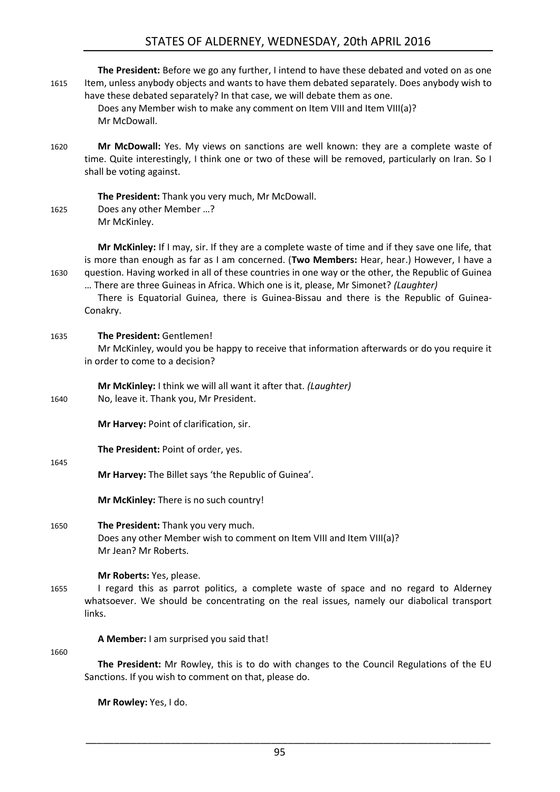### STATES OF ALDERNEY, WEDNESDAY, 20th APRIL 2016

| 1615 | The President: Before we go any further, I intend to have these debated and voted on as one<br>Item, unless anybody objects and wants to have them debated separately. Does anybody wish to<br>have these debated separately? In that case, we will debate them as one.<br>Does any Member wish to make any comment on Item VIII and Item VIII(a)?<br>Mr McDowall.                                                                                                                               |
|------|--------------------------------------------------------------------------------------------------------------------------------------------------------------------------------------------------------------------------------------------------------------------------------------------------------------------------------------------------------------------------------------------------------------------------------------------------------------------------------------------------|
| 1620 | Mr McDowall: Yes. My views on sanctions are well known: they are a complete waste of<br>time. Quite interestingly, I think one or two of these will be removed, particularly on Iran. So I<br>shall be voting against.                                                                                                                                                                                                                                                                           |
| 1625 | The President: Thank you very much, Mr McDowall.<br>Does any other Member ?<br>Mr McKinley.                                                                                                                                                                                                                                                                                                                                                                                                      |
| 1630 | Mr McKinley: If I may, sir. If they are a complete waste of time and if they save one life, that<br>is more than enough as far as I am concerned. (Two Members: Hear, hear.) However, I have a<br>question. Having worked in all of these countries in one way or the other, the Republic of Guinea<br>There are three Guineas in Africa. Which one is it, please, Mr Simonet? (Laughter)<br>There is Equatorial Guinea, there is Guinea-Bissau and there is the Republic of Guinea-<br>Conakry. |
| 1635 | The President: Gentlemen!<br>Mr McKinley, would you be happy to receive that information afterwards or do you require it<br>in order to come to a decision?                                                                                                                                                                                                                                                                                                                                      |
| 1640 | Mr McKinley: I think we will all want it after that. (Laughter)<br>No, leave it. Thank you, Mr President.                                                                                                                                                                                                                                                                                                                                                                                        |
|      | Mr Harvey: Point of clarification, sir.                                                                                                                                                                                                                                                                                                                                                                                                                                                          |
|      | The President: Point of order, yes.                                                                                                                                                                                                                                                                                                                                                                                                                                                              |
| 1645 | Mr Harvey: The Billet says 'the Republic of Guinea'.                                                                                                                                                                                                                                                                                                                                                                                                                                             |
|      | Mr McKinley: There is no such country!                                                                                                                                                                                                                                                                                                                                                                                                                                                           |
| 1650 | The President: Thank you very much.<br>Does any other Member wish to comment on Item VIII and Item VIII(a)?<br>Mr Jean? Mr Roberts.                                                                                                                                                                                                                                                                                                                                                              |
| 1655 | Mr Roberts: Yes, please.<br>I regard this as parrot politics, a complete waste of space and no regard to Alderney<br>whatsoever. We should be concentrating on the real issues, namely our diabolical transport<br>links.                                                                                                                                                                                                                                                                        |
| 1660 | A Member: I am surprised you said that!                                                                                                                                                                                                                                                                                                                                                                                                                                                          |
|      | The President: Mr Rowley, this is to do with changes to the Council Regulations of the EU<br>Sanctions. If you wish to comment on that, please do.                                                                                                                                                                                                                                                                                                                                               |

**Mr Rowley:** Yes, I do.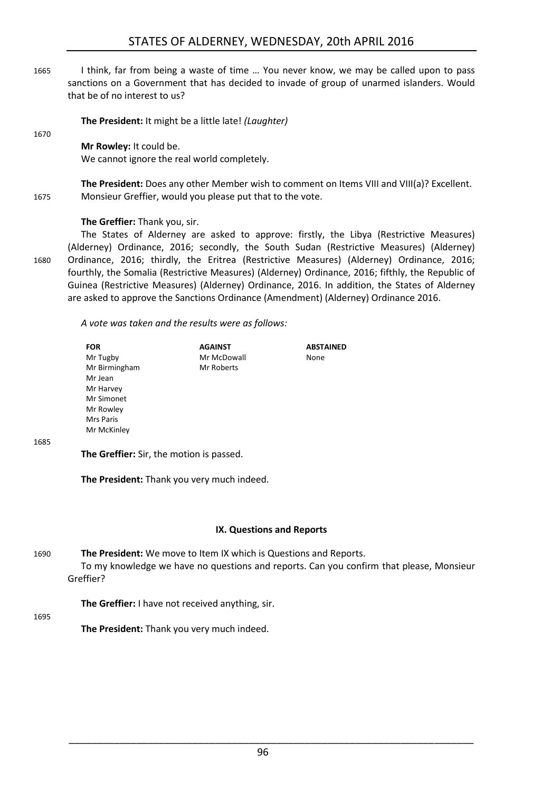1665 I think, far from being a waste of time … You never know, we may be called upon to pass sanctions on a Government that has decided to invade of group of unarmed islanders. Would that be of no interest to us?

**The President:** It might be a little late! *(Laughter)* 

#### **Mr Rowley:** It could be.

We cannot ignore the real world completely.

**The President:** Does any other Member wish to comment on Items VIII and VIII(a)? Excellent. 1675 Monsieur Greffier, would you please put that to the vote.

#### **The Greffier:** Thank you, sir.

The States of Alderney are asked to approve: firstly, the Libya (Restrictive Measures) (Alderney) Ordinance, 2016; secondly, the South Sudan (Restrictive Measures) (Alderney) 1680 Ordinance, 2016; thirdly, the Eritrea (Restrictive Measures) (Alderney) Ordinance, 2016; fourthly, the Somalia (Restrictive Measures) (Alderney) Ordinance, 2016; fifthly, the Republic of Guinea (Restrictive Measures) (Alderney) Ordinance, 2016. In addition, the States of Alderney are asked to approve the Sanctions Ordinance (Amendment) (Alderney) Ordinance 2016.

*A vote was taken and the results were as follows:*

| <b>FOR</b>                                      | <b>AGAINST</b> | <b>ABSTAINED</b> |
|-------------------------------------------------|----------------|------------------|
| Mr Tugby                                        | Mr McDowall    | None             |
| Mr Birmingham                                   | Mr Roberts     |                  |
| Mr Jean                                         |                |                  |
| Mr Harvey                                       |                |                  |
| Mr Simonet                                      |                |                  |
| Mr Rowley                                       |                |                  |
| Mrs Paris                                       |                |                  |
| Mr McKinley                                     |                |                  |
|                                                 |                |                  |
| <b>The Greffier:</b> Sir, the motion is passed. |                |                  |

1685

1670

**The Greffier:** Sir, the motion is passed.

**The President:** Thank you very much indeed.

#### **IX. Questions and Reports**

<span id="page-39-0"></span>1690 **The President:** We move to Item IX which is Questions and Reports. To my knowledge we have no questions and reports. Can you confirm that please, Monsieur Greffier?

**The Greffier:** I have not received anything, sir.

1695

**The President:** Thank you very much indeed.